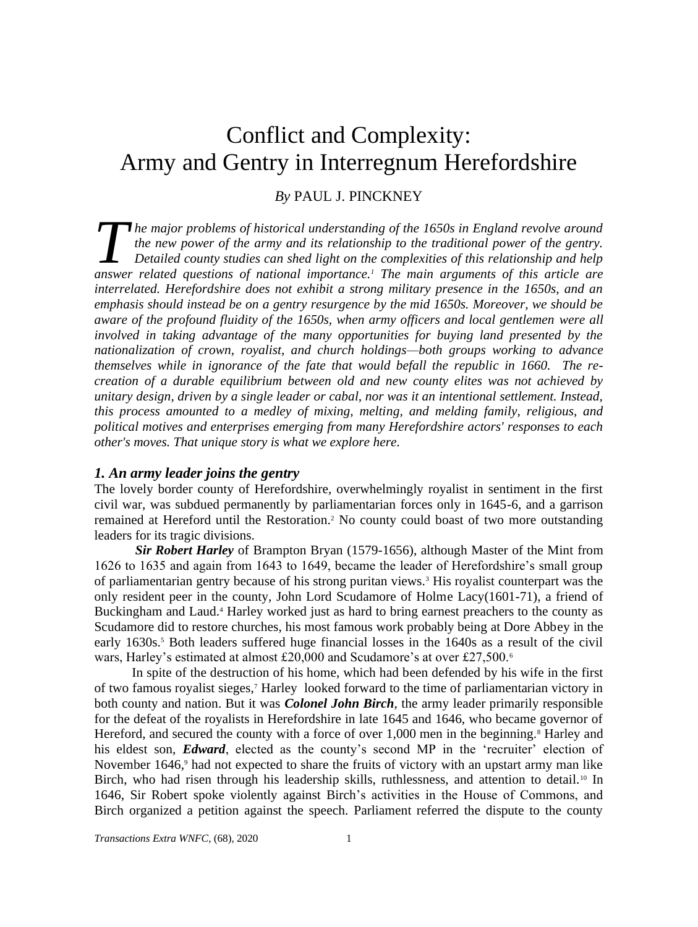# Conflict and Complexity: Army and Gentry in Interregnum Herefordshire

# *By* PAUL J. PINCKNEY

*he major problems of historical understanding of the 1650s in England revolve around the new power of the army and its relationship to the traditional power of the gentry. Detailed county studies can shed light on the complexities of this relationship and help*  **b** *and the major problems of historical understanding of the 1650s in England revolve around the new power of the army and its relationship to the traditional power of the gentry. Detailed county studies can shed light o interrelated. Herefordshire does not exhibit a strong military presence in the 1650s, and an emphasis should instead be on a gentry resurgence by the mid 1650s. Moreover, we should be aware of the profound fluidity of the 1650s, when army officers and local gentlemen were all involved in taking advantage of the many opportunities for buying land presented by the nationalization of crown, royalist, and church holdings—both groups working to advance themselves while in ignorance of the fate that would befall the republic in 1660. The recreation of a durable equilibrium between old and new county elites was not achieved by unitary design, driven by a single leader or cabal, nor was it an intentional settlement. Instead, this process amounted to a medley of mixing, melting, and melding family, religious, and political motives and enterprises emerging from many Herefordshire actors' responses to each other's moves. That unique story is what we explore here.* 

# *1. An army leader joins the gentry*

The lovely border county of Herefordshire, overwhelmingly royalist in sentiment in the first civil war, was subdued permanently by parliamentarian forces only in 1645-6, and a garrison remained at Hereford until the Restoration. <sup>2</sup> No county could boast of two more outstanding leaders for its tragic divisions.

*Sir Robert Harley* of Brampton Bryan (1579-1656), although Master of the Mint from 1626 to 1635 and again from 1643 to 1649, became the leader of Herefordshire's small group of parliamentarian gentry because of his strong puritan views.<sup>3</sup> His royalist counterpart was the only resident peer in the county, John Lord Scudamore of Holme Lacy(1601-71), a friend of Buckingham and Laud.<sup>4</sup> Harley worked just as hard to bring earnest preachers to the county as Scudamore did to restore churches, his most famous work probably being at Dore Abbey in the early 1630s.<sup>5</sup> Both leaders suffered huge financial losses in the 1640s as a result of the civil wars, Harley's estimated at almost £20,000 and Scudamore's at over £27,500.<sup>6</sup>

In spite of the destruction of his home, which had been defended by his wife in the first of two famous royalist sieges,<sup>7</sup> Harley looked forward to the time of parliamentarian victory in both county and nation. But it was *Colonel John Birch*, the army leader primarily responsible for the defeat of the royalists in Herefordshire in late 1645 and 1646, who became governor of Hereford, and secured the county with a force of over 1,000 men in the beginning.<sup>8</sup> Harley and his eldest son, *Edward*, elected as the county's second MP in the 'recruiter' election of November 1646,<sup>9</sup> had not expected to share the fruits of victory with an upstart army man like Birch, who had risen through his leadership skills, ruthlessness, and attention to detail.<sup>10</sup> In 1646, Sir Robert spoke violently against Birch's activities in the House of Commons, and Birch organized a petition against the speech. Parliament referred the dispute to the county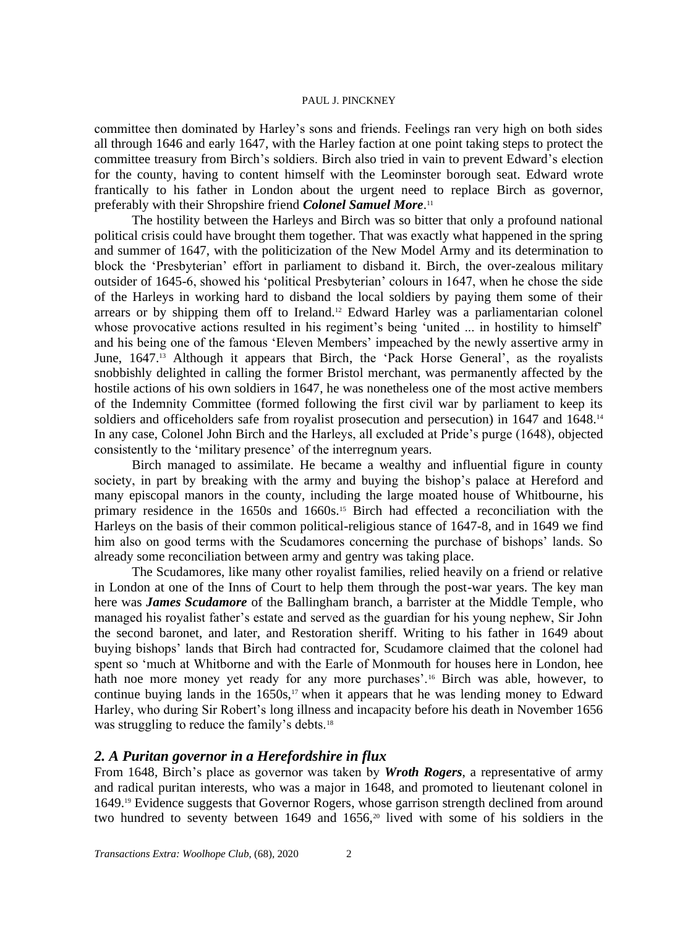committee then dominated by Harley's sons and friends. Feelings ran very high on both sides all through 1646 and early 1647, with the Harley faction at one point taking steps to protect the committee treasury from Birch's soldiers. Birch also tried in vain to prevent Edward's election for the county, having to content himself with the Leominster borough seat. Edward wrote frantically to his father in London about the urgent need to replace Birch as governor, preferably with their Shropshire friend *Colonel Samuel More*. 11

The hostility between the Harleys and Birch was so bitter that only a profound national political crisis could have brought them together. That was exactly what happened in the spring and summer of 1647, with the politicization of the New Model Army and its determination to block the 'Presbyterian' effort in parliament to disband it. Birch, the over-zealous military outsider of 1645-6, showed his 'political Presbyterian' colours in 1647, when he chose the side of the Harleys in working hard to disband the local soldiers by paying them some of their arrears or by shipping them off to Ireland.<sup>12</sup> Edward Harley was a parliamentarian colonel whose provocative actions resulted in his regiment's being 'united ... in hostility to himself' and his being one of the famous 'Eleven Members' impeached by the newly assertive army in June, 1647.<sup>13</sup> Although it appears that Birch, the 'Pack Horse General', as the royalists snobbishly delighted in calling the former Bristol merchant, was permanently affected by the hostile actions of his own soldiers in 1647, he was nonetheless one of the most active members of the Indemnity Committee (formed following the first civil war by parliament to keep its soldiers and officeholders safe from royalist prosecution and persecution) in 1647 and 1648.<sup>14</sup> In any case, Colonel John Birch and the Harleys, all excluded at Pride's purge (1648), objected consistently to the 'military presence' of the interregnum years.

Birch managed to assimilate. He became a wealthy and influential figure in county society, in part by breaking with the army and buying the bishop's palace at Hereford and many episcopal manors in the county, including the large moated house of Whitbourne, his primary residence in the 1650s and 1660s.<sup>15</sup> Birch had effected a reconciliation with the Harleys on the basis of their common political-religious stance of 1647-8, and in 1649 we find him also on good terms with the Scudamores concerning the purchase of bishops' lands. So already some reconciliation between army and gentry was taking place.

The Scudamores, like many other royalist families, relied heavily on a friend or relative in London at one of the Inns of Court to help them through the post-war years. The key man here was *James Scudamore* of the Ballingham branch, a barrister at the Middle Temple, who managed his royalist father's estate and served as the guardian for his young nephew, Sir John the second baronet, and later, and Restoration sheriff. Writing to his father in 1649 about buying bishops' lands that Birch had contracted for, Scudamore claimed that the colonel had spent so 'much at Whitborne and with the Earle of Monmouth for houses here in London, hee hath noe more money yet ready for any more purchases'.<sup>16</sup> Birch was able, however, to continue buying lands in the  $1650s$ ,<sup>17</sup> when it appears that he was lending money to Edward Harley, who during Sir Robert's long illness and incapacity before his death in November 1656 was struggling to reduce the family's debts.<sup>18</sup>

# *2. A Puritan governor in a Herefordshire in flux*

From 1648, Birch's place as governor was taken by *Wroth Rogers*, a representative of army and radical puritan interests, who was a major in 1648, and promoted to lieutenant colonel in 1649.<sup>19</sup> Evidence suggests that Governor Rogers, whose garrison strength declined from around two hundred to seventy between 1649 and 1656,<sup>20</sup> lived with some of his soldiers in the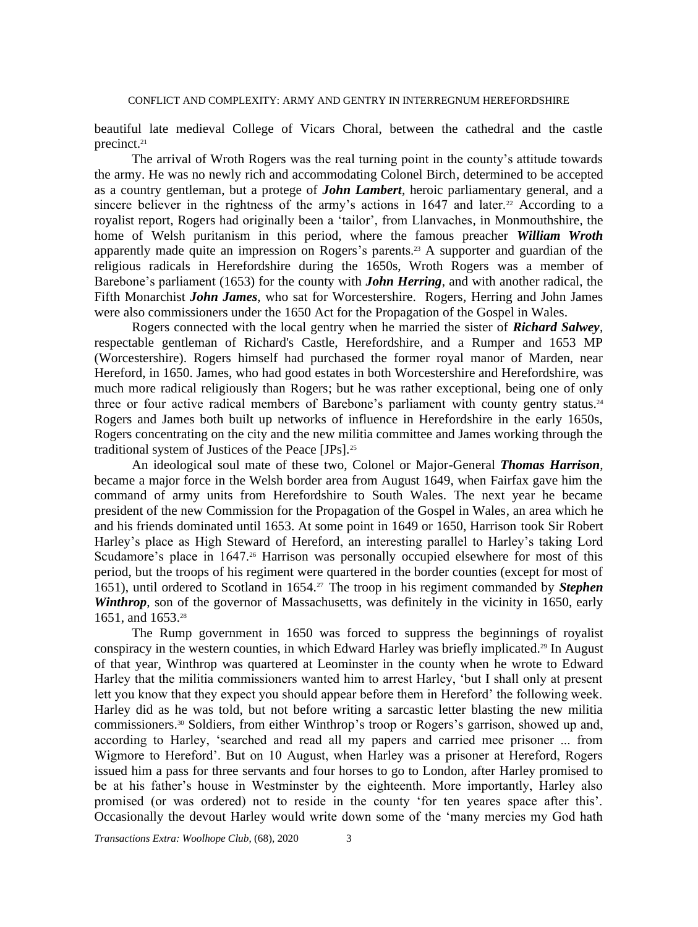beautiful late medieval College of Vicars Choral, between the cathedral and the castle precinct.<sup>21</sup>

The arrival of Wroth Rogers was the real turning point in the county's attitude towards the army. He was no newly rich and accommodating Colonel Birch, determined to be accepted as a country gentleman, but a protege of *John Lambert*, heroic parliamentary general, and a sincere believer in the rightness of the army's actions in  $1647$  and later.<sup>22</sup> According to a royalist report, Rogers had originally been a 'tailor', from Llanvaches, in Monmouthshire, the home of Welsh puritanism in this period, where the famous preacher *William Wroth* apparently made quite an impression on Rogers's parents.<sup>23</sup> A supporter and guardian of the religious radicals in Herefordshire during the 1650s, Wroth Rogers was a member of Barebone's parliament (1653) for the county with *John Herring*, and with another radical, the Fifth Monarchist *John James*, who sat for Worcestershire. Rogers, Herring and John James were also commissioners under the 1650 Act for the Propagation of the Gospel in Wales.

Rogers connected with the local gentry when he married the sister of *Richard Salwey*, respectable gentleman of Richard's Castle, Herefordshire, and a Rumper and 1653 MP (Worcestershire). Rogers himself had purchased the former royal manor of Marden, near Hereford, in 1650. James, who had good estates in both Worcestershire and Herefordshire, was much more radical religiously than Rogers; but he was rather exceptional, being one of only three or four active radical members of Barebone's parliament with county gentry status.<sup>24</sup> Rogers and James both built up networks of influence in Herefordshire in the early 1650s, Rogers concentrating on the city and the new militia committee and James working through the traditional system of Justices of the Peace [JPs].<sup>25</sup>

An ideological soul mate of these two, Colonel or Major-General *Thomas Harrison*, became a major force in the Welsh border area from August 1649, when Fairfax gave him the command of army units from Herefordshire to South Wales. The next year he became president of the new Commission for the Propagation of the Gospel in Wales, an area which he and his friends dominated until 1653. At some point in 1649 or 1650, Harrison took Sir Robert Harley's place as High Steward of Hereford, an interesting parallel to Harley's taking Lord Scudamore's place in 1647.<sup>26</sup> Harrison was personally occupied elsewhere for most of this period, but the troops of his regiment were quartered in the border counties (except for most of 1651), until ordered to Scotland in 1654.27 The troop in his regiment commanded by *Stephen Winthrop*, son of the governor of Massachusetts, was definitely in the vicinity in 1650, early 1651, and 1653.<sup>28</sup>

The Rump government in 1650 was forced to suppress the beginnings of royalist conspiracy in the western counties, in which Edward Harley was briefly implicated.<sup>29</sup> In August of that year, Winthrop was quartered at Leominster in the county when he wrote to Edward Harley that the militia commissioners wanted him to arrest Harley, 'but I shall only at present lett you know that they expect you should appear before them in Hereford' the following week. Harley did as he was told, but not before writing a sarcastic letter blasting the new militia commissioners.<sup>30</sup> Soldiers, from either Winthrop's troop or Rogers's garrison, showed up and, according to Harley, 'searched and read all my papers and carried mee prisoner ... from Wigmore to Hereford'. But on 10 August, when Harley was a prisoner at Hereford, Rogers issued him a pass for three servants and four horses to go to London, after Harley promised to be at his father's house in Westminster by the eighteenth. More importantly, Harley also promised (or was ordered) not to reside in the county 'for ten yeares space after this'. Occasionally the devout Harley would write down some of the 'many mercies my God hath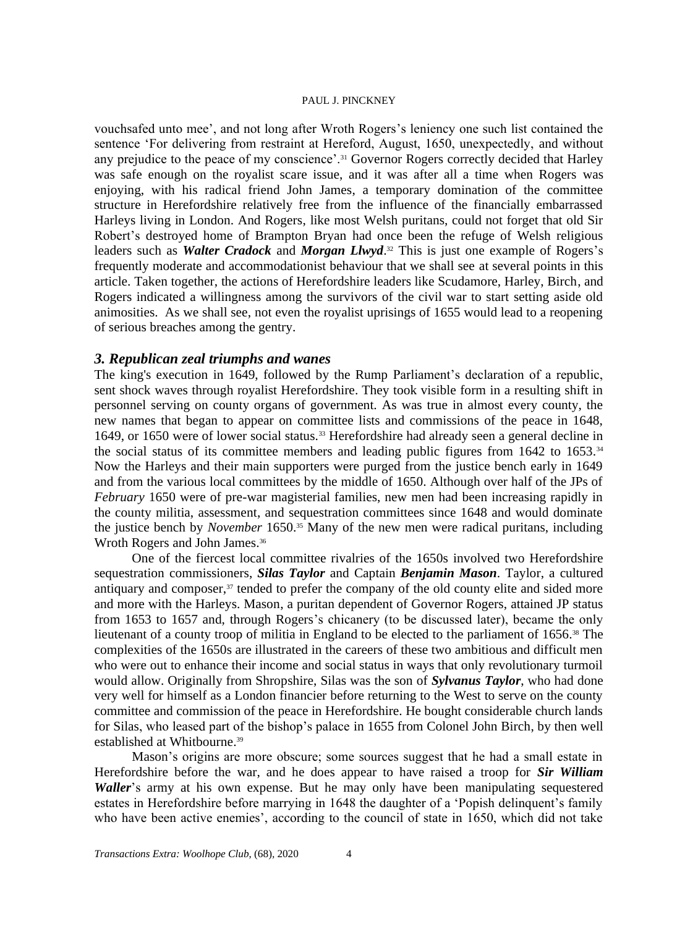vouchsafed unto mee', and not long after Wroth Rogers's leniency one such list contained the sentence 'For delivering from restraint at Hereford, August, 1650, unexpectedly, and without any prejudice to the peace of my conscience'.<sup>31</sup> Governor Rogers correctly decided that Harley was safe enough on the royalist scare issue, and it was after all a time when Rogers was enjoying, with his radical friend John James, a temporary domination of the committee structure in Herefordshire relatively free from the influence of the financially embarrassed Harleys living in London. And Rogers, like most Welsh puritans, could not forget that old Sir Robert's destroyed home of Brampton Bryan had once been the refuge of Welsh religious leaders such as *Walter Cradock* and *Morgan Llwyd*. <sup>32</sup> This is just one example of Rogers's frequently moderate and accommodationist behaviour that we shall see at several points in this article. Taken together, the actions of Herefordshire leaders like Scudamore, Harley, Birch, and Rogers indicated a willingness among the survivors of the civil war to start setting aside old animosities. As we shall see, not even the royalist uprisings of 1655 would lead to a reopening of serious breaches among the gentry.

# *3. Republican zeal triumphs and wanes*

The king's execution in 1649, followed by the Rump Parliament's declaration of a republic, sent shock waves through royalist Herefordshire. They took visible form in a resulting shift in personnel serving on county organs of government. As was true in almost every county, the new names that began to appear on committee lists and commissions of the peace in 1648, 1649, or 1650 were of lower social status.<sup>33</sup> Herefordshire had already seen a general decline in the social status of its committee members and leading public figures from 1642 to 1653.<sup>34</sup> Now the Harleys and their main supporters were purged from the justice bench early in 1649 and from the various local committees by the middle of 1650. Although over half of the JPs of *February* 1650 were of pre-war magisterial families, new men had been increasing rapidly in the county militia, assessment, and sequestration committees since 1648 and would dominate the justice bench by *November* 1650.<sup>35</sup> Many of the new men were radical puritans, including Wroth Rogers and John James. 36

One of the fiercest local committee rivalries of the 1650s involved two Herefordshire sequestration commissioners, *Silas Taylor* and Captain *Benjamin Mason*. Taylor, a cultured antiquary and composer, $37$  tended to prefer the company of the old county elite and sided more and more with the Harleys. Mason, a puritan dependent of Governor Rogers, attained JP status from 1653 to 1657 and, through Rogers's chicanery (to be discussed later), became the only lieutenant of a county troop of militia in England to be elected to the parliament of 1656.<sup>38</sup> The complexities of the 1650s are illustrated in the careers of these two ambitious and difficult men who were out to enhance their income and social status in ways that only revolutionary turmoil would allow. Originally from Shropshire, Silas was the son of *Sylvanus Taylor*, who had done very well for himself as a London financier before returning to the West to serve on the county committee and commission of the peace in Herefordshire. He bought considerable church lands for Silas, who leased part of the bishop's palace in 1655 from Colonel John Birch, by then well established at Whitbourne. 39

Mason's origins are more obscure; some sources suggest that he had a small estate in Herefordshire before the war, and he does appear to have raised a troop for *Sir William Waller*'s army at his own expense. But he may only have been manipulating sequestered estates in Herefordshire before marrying in 1648 the daughter of a 'Popish delinquent's family who have been active enemies', according to the council of state in 1650, which did not take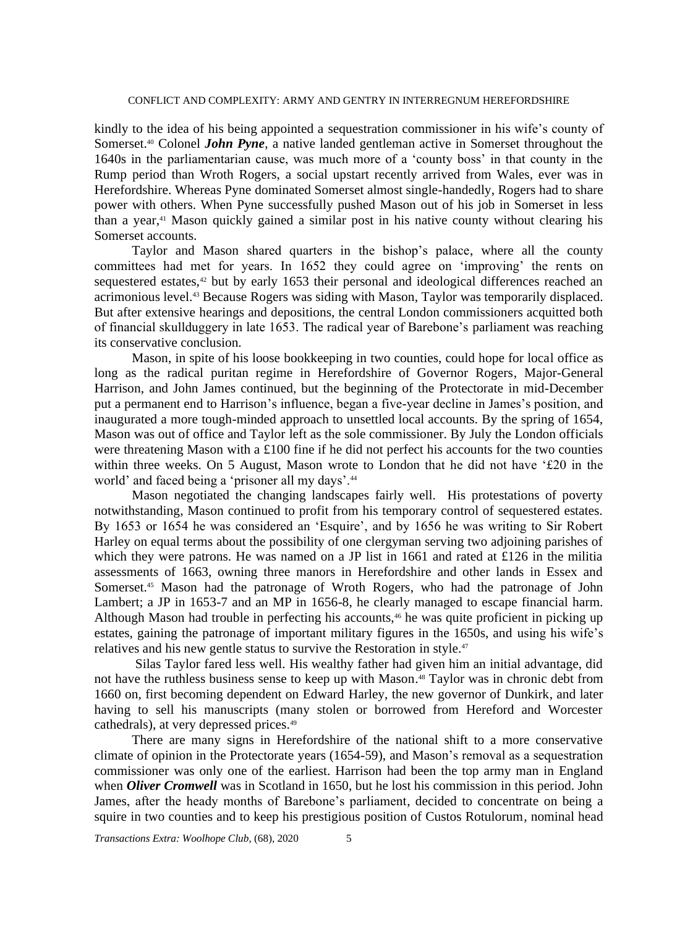kindly to the idea of his being appointed a sequestration commissioner in his wife's county of Somerset.<sup>40</sup> Colonel *John Pyne*, a native landed gentleman active in Somerset throughout the 1640s in the parliamentarian cause, was much more of a 'county boss' in that county in the Rump period than Wroth Rogers, a social upstart recently arrived from Wales, ever was in Herefordshire. Whereas Pyne dominated Somerset almost single-handedly, Rogers had to share power with others. When Pyne successfully pushed Mason out of his job in Somerset in less than a year,<sup>41</sup> Mason quickly gained a similar post in his native county without clearing his Somerset accounts.

Taylor and Mason shared quarters in the bishop's palace, where all the county committees had met for years. In 1652 they could agree on 'improving' the rents on sequestered estates,<sup>42</sup> but by early 1653 their personal and ideological differences reached an acrimonious level.<sup>43</sup> Because Rogers was siding with Mason, Taylor was temporarily displaced. But after extensive hearings and depositions, the central London commissioners acquitted both of financial skullduggery in late 1653. The radical year of Barebone's parliament was reaching its conservative conclusion.

Mason, in spite of his loose bookkeeping in two counties, could hope for local office as long as the radical puritan regime in Herefordshire of Governor Rogers, Major-General Harrison, and John James continued, but the beginning of the Protectorate in mid-December put a permanent end to Harrison's influence, began a five-year decline in James's position, and inaugurated a more tough-minded approach to unsettled local accounts. By the spring of 1654, Mason was out of office and Taylor left as the sole commissioner. By July the London officials were threatening Mason with a £100 fine if he did not perfect his accounts for the two counties within three weeks. On 5 August, Mason wrote to London that he did not have '£20 in the world' and faced being a 'prisoner all my days'.<sup>44</sup>

Mason negotiated the changing landscapes fairly well. His protestations of poverty notwithstanding, Mason continued to profit from his temporary control of sequestered estates. By 1653 or 1654 he was considered an 'Esquire', and by 1656 he was writing to Sir Robert Harley on equal terms about the possibility of one clergyman serving two adjoining parishes of which they were patrons. He was named on a JP list in 1661 and rated at £126 in the militia assessments of 1663, owning three manors in Herefordshire and other lands in Essex and Somerset.<sup>45</sup> Mason had the patronage of Wroth Rogers, who had the patronage of John Lambert; a JP in 1653-7 and an MP in 1656-8, he clearly managed to escape financial harm. Although Mason had trouble in perfecting his accounts,<sup>46</sup> he was quite proficient in picking up estates, gaining the patronage of important military figures in the 1650s, and using his wife's relatives and his new gentle status to survive the Restoration in style.<sup>47</sup>

Silas Taylor fared less well. His wealthy father had given him an initial advantage, did not have the ruthless business sense to keep up with Mason. <sup>48</sup> Taylor was in chronic debt from 1660 on, first becoming dependent on Edward Harley, the new governor of Dunkirk, and later having to sell his manuscripts (many stolen or borrowed from Hereford and Worcester cathedrals), at very depressed prices.<sup>49</sup>

There are many signs in Herefordshire of the national shift to a more conservative climate of opinion in the Protectorate years (1654-59), and Mason's removal as a sequestration commissioner was only one of the earliest. Harrison had been the top army man in England when *Oliver Cromwell* was in Scotland in 1650, but he lost his commission in this period. John James, after the heady months of Barebone's parliament, decided to concentrate on being a squire in two counties and to keep his prestigious position of Custos Rotulorum, nominal head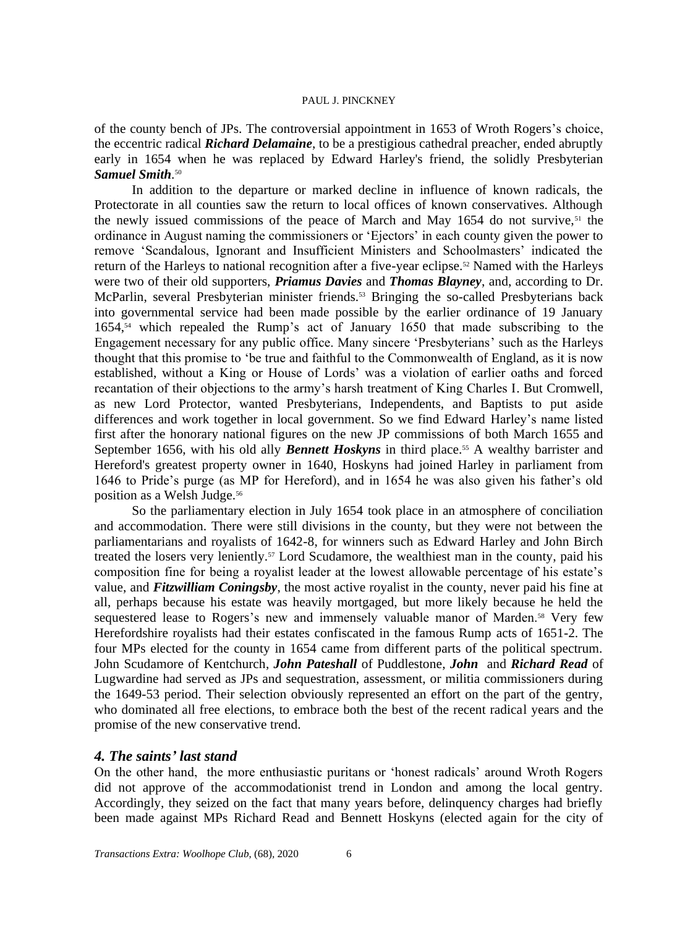of the county bench of JPs. The controversial appointment in 1653 of Wroth Rogers's choice, the eccentric radical *Richard Delamaine*, to be a prestigious cathedral preacher, ended abruptly early in 1654 when he was replaced by Edward Harley's friend, the solidly Presbyterian *Samuel Smith*. 50

In addition to the departure or marked decline in influence of known radicals, the Protectorate in all counties saw the return to local offices of known conservatives. Although the newly issued commissions of the peace of March and May 1654 do not survive,<sup>51</sup> the ordinance in August naming the commissioners or 'Ejectors' in each county given the power to remove 'Scandalous, Ignorant and Insufficient Ministers and Schoolmasters' indicated the return of the Harleys to national recognition after a five-year eclipse.<sup>52</sup> Named with the Harleys were two of their old supporters, *Priamus Davies* and *Thomas Blayney*, and, according to Dr. McParlin, several Presbyterian minister friends.<sup>53</sup> Bringing the so-called Presbyterians back into governmental service had been made possible by the earlier ordinance of 19 January 1654,<sup>54</sup> which repealed the Rump's act of January 1650 that made subscribing to the Engagement necessary for any public office. Many sincere 'Presbyterians' such as the Harleys thought that this promise to 'be true and faithful to the Commonwealth of England, as it is now established, without a King or House of Lords' was a violation of earlier oaths and forced recantation of their objections to the army's harsh treatment of King Charles I. But Cromwell, as new Lord Protector, wanted Presbyterians, Independents, and Baptists to put aside differences and work together in local government. So we find Edward Harley's name listed first after the honorary national figures on the new JP commissions of both March 1655 and September 1656, with his old ally **Bennett Hoskyns** in third place.<sup>55</sup> A wealthy barrister and Hereford's greatest property owner in 1640, Hoskyns had joined Harley in parliament from 1646 to Pride's purge (as MP for Hereford), and in 1654 he was also given his father's old position as a Welsh Judge.<sup>56</sup>

So the parliamentary election in July 1654 took place in an atmosphere of conciliation and accommodation. There were still divisions in the county, but they were not between the parliamentarians and royalists of 1642-8, for winners such as Edward Harley and John Birch treated the losers very leniently.<sup>57</sup> Lord Scudamore, the wealthiest man in the county, paid his composition fine for being a royalist leader at the lowest allowable percentage of his estate's value, and *Fitzwilliam Coningsby*, the most active royalist in the county, never paid his fine at all, perhaps because his estate was heavily mortgaged, but more likely because he held the sequestered lease to Rogers's new and immensely valuable manor of Marden.<sup>58</sup> Very few Herefordshire royalists had their estates confiscated in the famous Rump acts of 1651-2. The four MPs elected for the county in 1654 came from different parts of the political spectrum. John Scudamore of Kentchurch, *John Pateshall* of Puddlestone, *John* and *Richard Read* of Lugwardine had served as JPs and sequestration, assessment, or militia commissioners during the 1649-53 period. Their selection obviously represented an effort on the part of the gentry, who dominated all free elections, to embrace both the best of the recent radical years and the promise of the new conservative trend.

# *4. The saints' last stand*

On the other hand, the more enthusiastic puritans or 'honest radicals' around Wroth Rogers did not approve of the accommodationist trend in London and among the local gentry. Accordingly, they seized on the fact that many years before, delinquency charges had briefly been made against MPs Richard Read and Bennett Hoskyns (elected again for the city of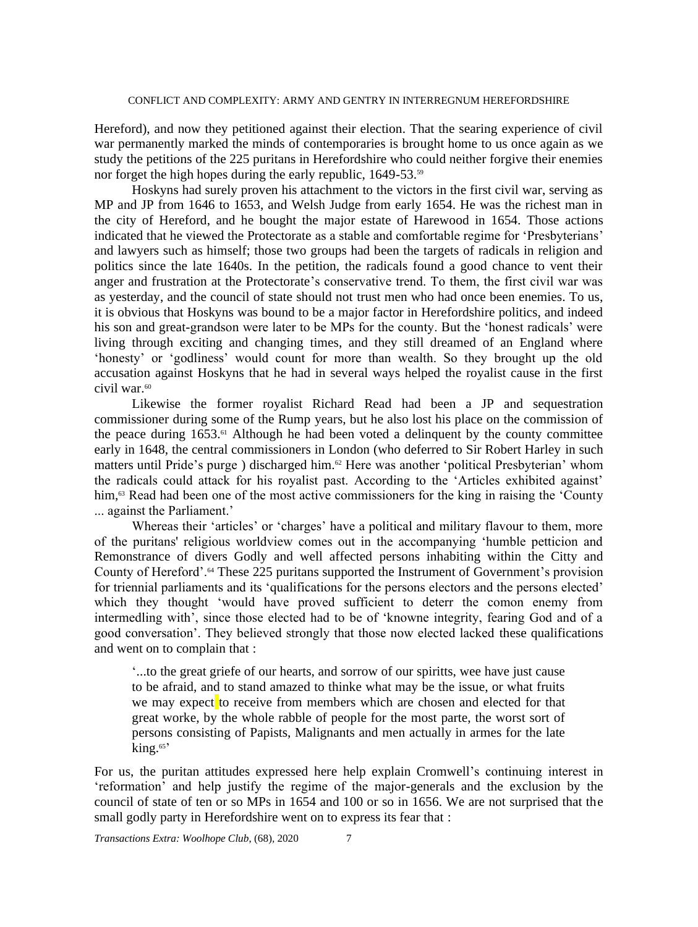Hereford), and now they petitioned against their election. That the searing experience of civil war permanently marked the minds of contemporaries is brought home to us once again as we study the petitions of the 225 puritans in Herefordshire who could neither forgive their enemies nor forget the high hopes during the early republic, 1649-53.<sup>59</sup>

Hoskyns had surely proven his attachment to the victors in the first civil war, serving as MP and JP from 1646 to 1653, and Welsh Judge from early 1654. He was the richest man in the city of Hereford, and he bought the major estate of Harewood in 1654. Those actions indicated that he viewed the Protectorate as a stable and comfortable regime for 'Presbyterians' and lawyers such as himself; those two groups had been the targets of radicals in religion and politics since the late 1640s. In the petition, the radicals found a good chance to vent their anger and frustration at the Protectorate's conservative trend. To them, the first civil war was as yesterday, and the council of state should not trust men who had once been enemies. To us, it is obvious that Hoskyns was bound to be a major factor in Herefordshire politics, and indeed his son and great-grandson were later to be MPs for the county. But the 'honest radicals' were living through exciting and changing times, and they still dreamed of an England where 'honesty' or 'godliness' would count for more than wealth. So they brought up the old accusation against Hoskyns that he had in several ways helped the royalist cause in the first civil war.<sup>60</sup>

Likewise the former royalist Richard Read had been a JP and sequestration commissioner during some of the Rump years, but he also lost his place on the commission of the peace during  $1653$ .<sup>61</sup> Although he had been voted a delinquent by the county committee early in 1648, the central commissioners in London (who deferred to Sir Robert Harley in such matters until Pride's purge ) discharged him.<sup>62</sup> Here was another 'political Presbyterian' whom the radicals could attack for his royalist past. According to the 'Articles exhibited against' him,<sup>63</sup> Read had been one of the most active commissioners for the king in raising the 'County ... against the Parliament.'

Whereas their 'articles' or 'charges' have a political and military flavour to them, more of the puritans' religious worldview comes out in the accompanying 'humble petticion and Remonstrance of divers Godly and well affected persons inhabiting within the Citty and County of Hereford'.<sup>64</sup> These 225 puritans supported the Instrument of Government's provision for triennial parliaments and its 'qualifications for the persons electors and the persons elected' which they thought 'would have proved sufficient to deterr the comon enemy from intermedling with', since those elected had to be of 'knowne integrity, fearing God and of a good conversation'. They believed strongly that those now elected lacked these qualifications and went on to complain that :

'...to the great griefe of our hearts, and sorrow of our spiritts, wee have just cause to be afraid, and to stand amazed to thinke what may be the issue, or what fruits we may expect to receive from members which are chosen and elected for that great worke, by the whole rabble of people for the most parte, the worst sort of persons consisting of Papists, Malignants and men actually in armes for the late king.<sup>65</sup>

For us, the puritan attitudes expressed here help explain Cromwell's continuing interest in 'reformation' and help justify the regime of the major-generals and the exclusion by the council of state of ten or so MPs in 1654 and 100 or so in 1656. We are not surprised that the small godly party in Herefordshire went on to express its fear that :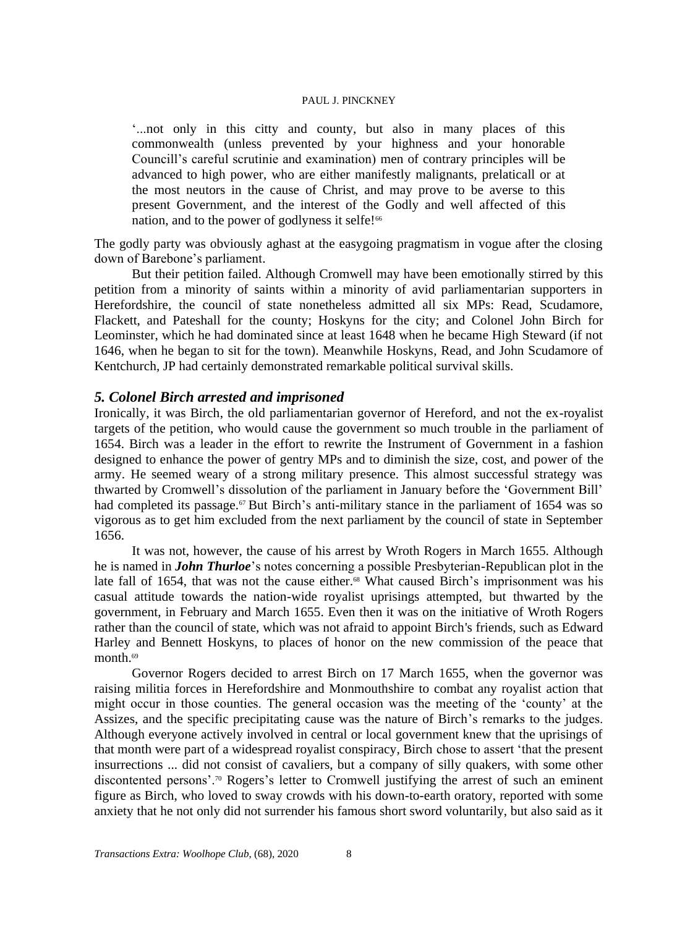'...not only in this citty and county, but also in many places of this commonwealth (unless prevented by your highness and your honorable Councill's careful scrutinie and examination) men of contrary principles will be advanced to high power, who are either manifestly malignants, prelaticall or at the most neutors in the cause of Christ, and may prove to be averse to this present Government, and the interest of the Godly and well affected of this nation, and to the power of godlyness it selfe!<sup>66</sup>

The godly party was obviously aghast at the easygoing pragmatism in vogue after the closing down of Barebone's parliament.

But their petition failed. Although Cromwell may have been emotionally stirred by this petition from a minority of saints within a minority of avid parliamentarian supporters in Herefordshire, the council of state nonetheless admitted all six MPs: Read, Scudamore, Flackett, and Pateshall for the county; Hoskyns for the city; and Colonel John Birch for Leominster, which he had dominated since at least 1648 when he became High Steward (if not 1646, when he began to sit for the town). Meanwhile Hoskyns, Read, and John Scudamore of Kentchurch, JP had certainly demonstrated remarkable political survival skills.

# *5. Colonel Birch arrested and imprisoned*

Ironically, it was Birch, the old parliamentarian governor of Hereford, and not the ex-royalist targets of the petition, who would cause the government so much trouble in the parliament of 1654. Birch was a leader in the effort to rewrite the Instrument of Government in a fashion designed to enhance the power of gentry MPs and to diminish the size, cost, and power of the army. He seemed weary of a strong military presence. This almost successful strategy was thwarted by Cromwell's dissolution of the parliament in January before the 'Government Bill' had completed its passage.<sup>67</sup> But Birch's anti-military stance in the parliament of 1654 was so vigorous as to get him excluded from the next parliament by the council of state in September 1656.

It was not, however, the cause of his arrest by Wroth Rogers in March 1655. Although he is named in *John Thurloe*'s notes concerning a possible Presbyterian-Republican plot in the late fall of 1654, that was not the cause either.<sup>68</sup> What caused Birch's imprisonment was his casual attitude towards the nation-wide royalist uprisings attempted, but thwarted by the government, in February and March 1655. Even then it was on the initiative of Wroth Rogers rather than the council of state, which was not afraid to appoint Birch's friends, such as Edward Harley and Bennett Hoskyns, to places of honor on the new commission of the peace that month.<sup>69</sup>

Governor Rogers decided to arrest Birch on 17 March 1655, when the governor was raising militia forces in Herefordshire and Monmouthshire to combat any royalist action that might occur in those counties. The general occasion was the meeting of the 'county' at the Assizes, and the specific precipitating cause was the nature of Birch's remarks to the judges. Although everyone actively involved in central or local government knew that the uprisings of that month were part of a widespread royalist conspiracy, Birch chose to assert 'that the present insurrections ... did not consist of cavaliers, but a company of silly quakers, with some other discontented persons'.<sup>70</sup> Rogers's letter to Cromwell justifying the arrest of such an eminent figure as Birch, who loved to sway crowds with his down-to-earth oratory, reported with some anxiety that he not only did not surrender his famous short sword voluntarily, but also said as it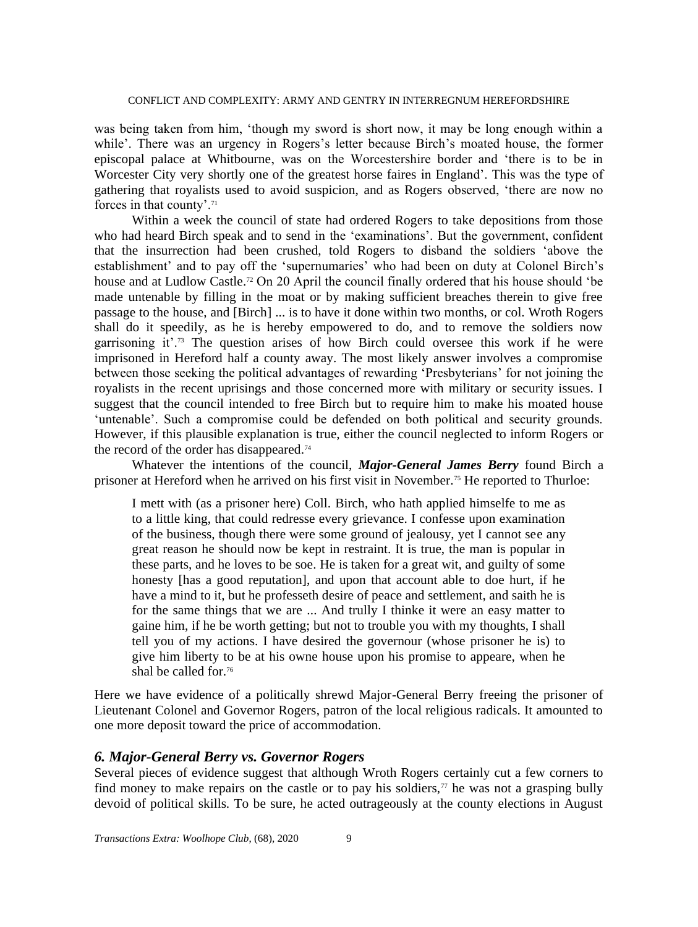was being taken from him, 'though my sword is short now, it may be long enough within a while'. There was an urgency in Rogers's letter because Birch's moated house, the former episcopal palace at Whitbourne, was on the Worcestershire border and 'there is to be in Worcester City very shortly one of the greatest horse faires in England'. This was the type of gathering that royalists used to avoid suspicion, and as Rogers observed, 'there are now no forces in that county'.<sup>71</sup>

Within a week the council of state had ordered Rogers to take depositions from those who had heard Birch speak and to send in the 'examinations'. But the government, confident that the insurrection had been crushed, told Rogers to disband the soldiers 'above the establishment' and to pay off the 'supernumaries' who had been on duty at Colonel Birch's house and at Ludlow Castle. <sup>72</sup> On 20 April the council finally ordered that his house should 'be made untenable by filling in the moat or by making sufficient breaches therein to give free passage to the house, and [Birch] ... is to have it done within two months, or col. Wroth Rogers shall do it speedily, as he is hereby empowered to do, and to remove the soldiers now garrisoning it'.<sup>73</sup> The question arises of how Birch could oversee this work if he were imprisoned in Hereford half a county away. The most likely answer involves a compromise between those seeking the political advantages of rewarding 'Presbyterians' for not joining the royalists in the recent uprisings and those concerned more with military or security issues. I suggest that the council intended to free Birch but to require him to make his moated house 'untenable'. Such a compromise could be defended on both political and security grounds. However, if this plausible explanation is true, either the council neglected to inform Rogers or the record of the order has disappeared.<sup>74</sup>

Whatever the intentions of the council, *Major-General James Berry* found Birch a prisoner at Hereford when he arrived on his first visit in November.<sup>75</sup> He reported to Thurloe:

I mett with (as a prisoner here) Coll. Birch, who hath applied himselfe to me as to a little king, that could redresse every grievance. I confesse upon examination of the business, though there were some ground of jealousy, yet I cannot see any great reason he should now be kept in restraint. It is true, the man is popular in these parts, and he loves to be soe. He is taken for a great wit, and guilty of some honesty [has a good reputation], and upon that account able to doe hurt, if he have a mind to it, but he professeth desire of peace and settlement, and saith he is for the same things that we are ... And trully I thinke it were an easy matter to gaine him, if he be worth getting; but not to trouble you with my thoughts, I shall tell you of my actions. I have desired the governour (whose prisoner he is) to give him liberty to be at his owne house upon his promise to appeare, when he shal be called for.<sup>76</sup>

Here we have evidence of a politically shrewd Major-General Berry freeing the prisoner of Lieutenant Colonel and Governor Rogers, patron of the local religious radicals. It amounted to one more deposit toward the price of accommodation.

# *6. Major-General Berry vs. Governor Rogers*

Several pieces of evidence suggest that although Wroth Rogers certainly cut a few corners to find money to make repairs on the castle or to pay his soldiers, $\tau$  he was not a grasping bully devoid of political skills. To be sure, he acted outrageously at the county elections in August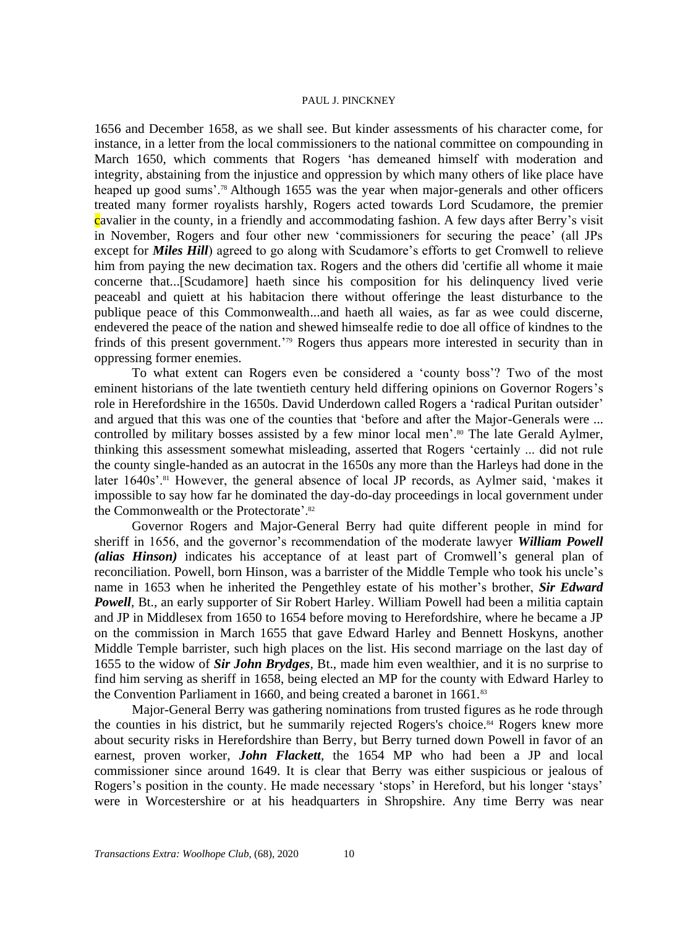1656 and December 1658, as we shall see. But kinder assessments of his character come, for instance, in a letter from the local commissioners to the national committee on compounding in March 1650, which comments that Rogers 'has demeaned himself with moderation and integrity, abstaining from the injustice and oppression by which many others of like place have heaped up good sums'.<sup>78</sup> Although 1655 was the year when major-generals and other officers treated many former royalists harshly, Rogers acted towards Lord Scudamore, the premier cavalier in the county, in a friendly and accommodating fashion. A few days after Berry's visit in November, Rogers and four other new 'commissioners for securing the peace' (all JPs except for *Miles Hill*) agreed to go along with Scudamore's efforts to get Cromwell to relieve him from paying the new decimation tax. Rogers and the others did 'certifie all whome it maie concerne that...[Scudamore] haeth since his composition for his delinquency lived verie peaceabl and quiett at his habitacion there without offeringe the least disturbance to the publique peace of this Commonwealth...and haeth all waies, as far as wee could discerne, endevered the peace of the nation and shewed himsealfe redie to doe all office of kindnes to the frinds of this present government.<sup>'79</sup> Rogers thus appears more interested in security than in oppressing former enemies.

To what extent can Rogers even be considered a 'county boss'? Two of the most eminent historians of the late twentieth century held differing opinions on Governor Rogers's role in Herefordshire in the 1650s. David Underdown called Rogers a 'radical Puritan outsider' and argued that this was one of the counties that 'before and after the Major-Generals were ... controlled by military bosses assisted by a few minor local men'.<sup>80</sup> The late Gerald Aylmer, thinking this assessment somewhat misleading, asserted that Rogers 'certainly ... did not rule the county single-handed as an autocrat in the 1650s any more than the Harleys had done in the later 1640s'.<sup>81</sup> However, the general absence of local JP records, as Aylmer said, 'makes it impossible to say how far he dominated the day-do-day proceedings in local government under the Commonwealth or the Protectorate'.<sup>82</sup>

Governor Rogers and Major-General Berry had quite different people in mind for sheriff in 1656, and the governor's recommendation of the moderate lawyer *William Powell (alias Hinson)* indicates his acceptance of at least part of Cromwell's general plan of reconciliation. Powell, born Hinson, was a barrister of the Middle Temple who took his uncle's name in 1653 when he inherited the Pengethley estate of his mother's brother, *Sir Edward Powell*, Bt., an early supporter of Sir Robert Harley. William Powell had been a militia captain and JP in Middlesex from 1650 to 1654 before moving to Herefordshire, where he became a JP on the commission in March 1655 that gave Edward Harley and Bennett Hoskyns, another Middle Temple barrister, such high places on the list. His second marriage on the last day of 1655 to the widow of *Sir John Brydges*, Bt., made him even wealthier, and it is no surprise to find him serving as sheriff in 1658, being elected an MP for the county with Edward Harley to the Convention Parliament in 1660, and being created a baronet in 1661.<sup>83</sup>

Major-General Berry was gathering nominations from trusted figures as he rode through the counties in his district, but he summarily rejected Rogers's choice.<sup>84</sup> Rogers knew more about security risks in Herefordshire than Berry, but Berry turned down Powell in favor of an earnest, proven worker, *John Flackett*, the 1654 MP who had been a JP and local commissioner since around 1649. It is clear that Berry was either suspicious or jealous of Rogers's position in the county. He made necessary 'stops' in Hereford, but his longer 'stays' were in Worcestershire or at his headquarters in Shropshire. Any time Berry was near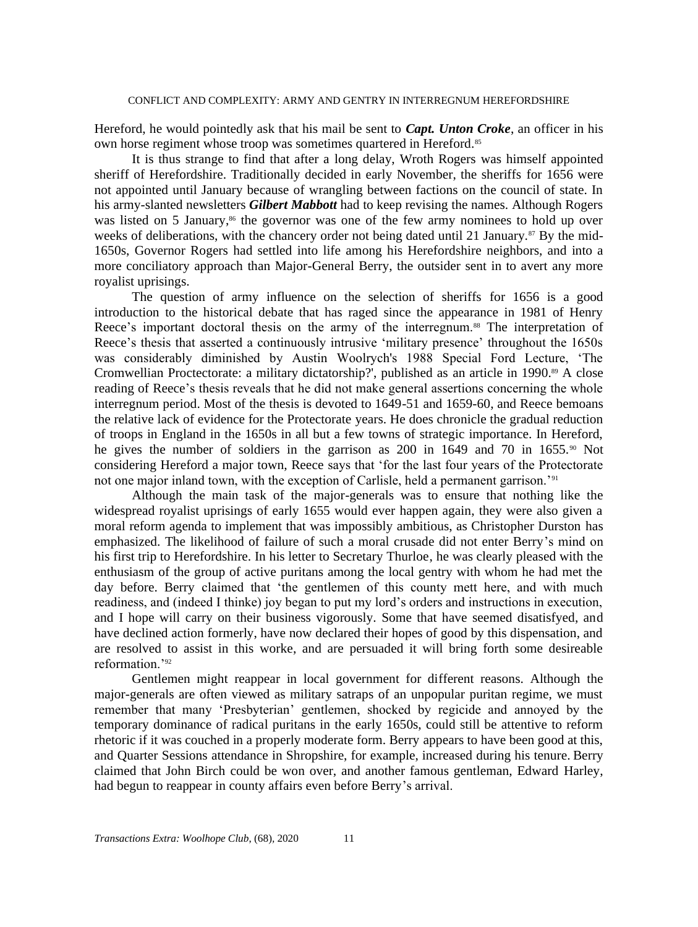Hereford, he would pointedly ask that his mail be sent to *Capt. Unton Croke*, an officer in his own horse regiment whose troop was sometimes quartered in Hereford.<sup>85</sup>

It is thus strange to find that after a long delay, Wroth Rogers was himself appointed sheriff of Herefordshire. Traditionally decided in early November, the sheriffs for 1656 were not appointed until January because of wrangling between factions on the council of state. In his army-slanted newsletters *Gilbert Mabbott* had to keep revising the names. Although Rogers was listed on 5 January,<sup>86</sup> the governor was one of the few army nominees to hold up over weeks of deliberations, with the chancery order not being dated until 21 January.<sup>87</sup> By the mid-1650s, Governor Rogers had settled into life among his Herefordshire neighbors, and into a more conciliatory approach than Major-General Berry, the outsider sent in to avert any more royalist uprisings.

The question of army influence on the selection of sheriffs for 1656 is a good introduction to the historical debate that has raged since the appearance in 1981 of Henry Reece's important doctoral thesis on the army of the interregnum.<sup>88</sup> The interpretation of Reece's thesis that asserted a continuously intrusive 'military presence' throughout the 1650s was considerably diminished by Austin Woolrych's 1988 Special Ford Lecture, 'The Cromwellian Proctectorate: a military dictatorship?', published as an article in 1990.<sup>89</sup> A close reading of Reece's thesis reveals that he did not make general assertions concerning the whole interregnum period. Most of the thesis is devoted to 1649-51 and 1659-60, and Reece bemoans the relative lack of evidence for the Protectorate years. He does chronicle the gradual reduction of troops in England in the 1650s in all but a few towns of strategic importance. In Hereford, he gives the number of soldiers in the garrison as 200 in 1649 and 70 in 1655.<sup>90</sup> Not considering Hereford a major town, Reece says that 'for the last four years of the Protectorate not one major inland town, with the exception of Carlisle, held a permanent garrison.'<sup>91</sup>

Although the main task of the major-generals was to ensure that nothing like the widespread royalist uprisings of early 1655 would ever happen again, they were also given a moral reform agenda to implement that was impossibly ambitious, as Christopher Durston has emphasized. The likelihood of failure of such a moral crusade did not enter Berry's mind on his first trip to Herefordshire. In his letter to Secretary Thurloe, he was clearly pleased with the enthusiasm of the group of active puritans among the local gentry with whom he had met the day before. Berry claimed that 'the gentlemen of this county mett here, and with much readiness, and (indeed I thinke) joy began to put my lord's orders and instructions in execution, and I hope will carry on their business vigorously. Some that have seemed disatisfyed, and have declined action formerly, have now declared their hopes of good by this dispensation, and are resolved to assist in this worke, and are persuaded it will bring forth some desireable reformation.'<sup>92</sup>

Gentlemen might reappear in local government for different reasons. Although the major-generals are often viewed as military satraps of an unpopular puritan regime, we must remember that many 'Presbyterian' gentlemen, shocked by regicide and annoyed by the temporary dominance of radical puritans in the early 1650s, could still be attentive to reform rhetoric if it was couched in a properly moderate form. Berry appears to have been good at this, and Quarter Sessions attendance in Shropshire, for example, increased during his tenure. Berry claimed that John Birch could be won over, and another famous gentleman, Edward Harley, had begun to reappear in county affairs even before Berry's arrival.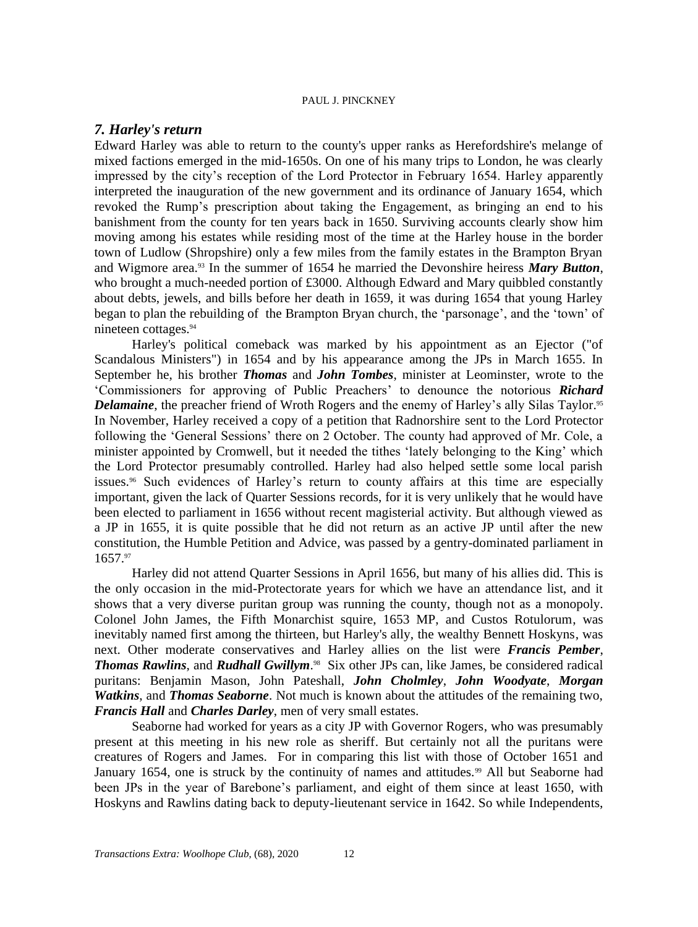# *7. Harley's return*

Edward Harley was able to return to the county's upper ranks as Herefordshire's melange of mixed factions emerged in the mid-1650s. On one of his many trips to London, he was clearly impressed by the city's reception of the Lord Protector in February 1654. Harley apparently interpreted the inauguration of the new government and its ordinance of January 1654, which revoked the Rump's prescription about taking the Engagement, as bringing an end to his banishment from the county for ten years back in 1650. Surviving accounts clearly show him moving among his estates while residing most of the time at the Harley house in the border town of Ludlow (Shropshire) only a few miles from the family estates in the Brampton Bryan and Wigmore area.<sup>93</sup> In the summer of 1654 he married the Devonshire heiress *Mary Button*, who brought a much-needed portion of £3000. Although Edward and Mary quibbled constantly about debts, jewels, and bills before her death in 1659, it was during 1654 that young Harley began to plan the rebuilding of the Brampton Bryan church, the 'parsonage', and the 'town' of nineteen cottages.<sup>94</sup>

Harley's political comeback was marked by his appointment as an Ejector ("of Scandalous Ministers") in 1654 and by his appearance among the JPs in March 1655. In September he, his brother *Thomas* and *John Tombes*, minister at Leominster, wrote to the 'Commissioners for approving of Public Preachers' to denounce the notorious *Richard Delamaine*, the preacher friend of Wroth Rogers and the enemy of Harley's ally Silas Taylor.<sup>95</sup> In November, Harley received a copy of a petition that Radnorshire sent to the Lord Protector following the 'General Sessions' there on 2 October. The county had approved of Mr. Cole, a minister appointed by Cromwell, but it needed the tithes 'lately belonging to the King' which the Lord Protector presumably controlled. Harley had also helped settle some local parish issues.<sup>96</sup> Such evidences of Harley's return to county affairs at this time are especially important, given the lack of Quarter Sessions records, for it is very unlikely that he would have been elected to parliament in 1656 without recent magisterial activity. But although viewed as a JP in 1655, it is quite possible that he did not return as an active JP until after the new constitution, the Humble Petition and Advice, was passed by a gentry-dominated parliament in 1657.<sup>97</sup>

Harley did not attend Quarter Sessions in April 1656, but many of his allies did. This is the only occasion in the mid-Protectorate years for which we have an attendance list, and it shows that a very diverse puritan group was running the county, though not as a monopoly. Colonel John James, the Fifth Monarchist squire, 1653 MP, and Custos Rotulorum, was inevitably named first among the thirteen, but Harley's ally, the wealthy Bennett Hoskyns, was next. Other moderate conservatives and Harley allies on the list were *Francis Pember*, *Thomas Rawlins*, and *Rudhall Gwillym*. 98 Six other JPs can, like James, be considered radical puritans: Benjamin Mason, John Pateshall, *John Cholmley*, *John Woodyate*, *Morgan Watkins*, and *Thomas Seaborne*. Not much is known about the attitudes of the remaining two, *Francis Hall* and *Charles Darley*, men of very small estates.

Seaborne had worked for years as a city JP with Governor Rogers, who was presumably present at this meeting in his new role as sheriff. But certainly not all the puritans were creatures of Rogers and James. For in comparing this list with those of October 1651 and January 1654, one is struck by the continuity of names and attitudes.<sup>99</sup> All but Seaborne had been JPs in the year of Barebone's parliament, and eight of them since at least 1650, with Hoskyns and Rawlins dating back to deputy-lieutenant service in 1642. So while Independents,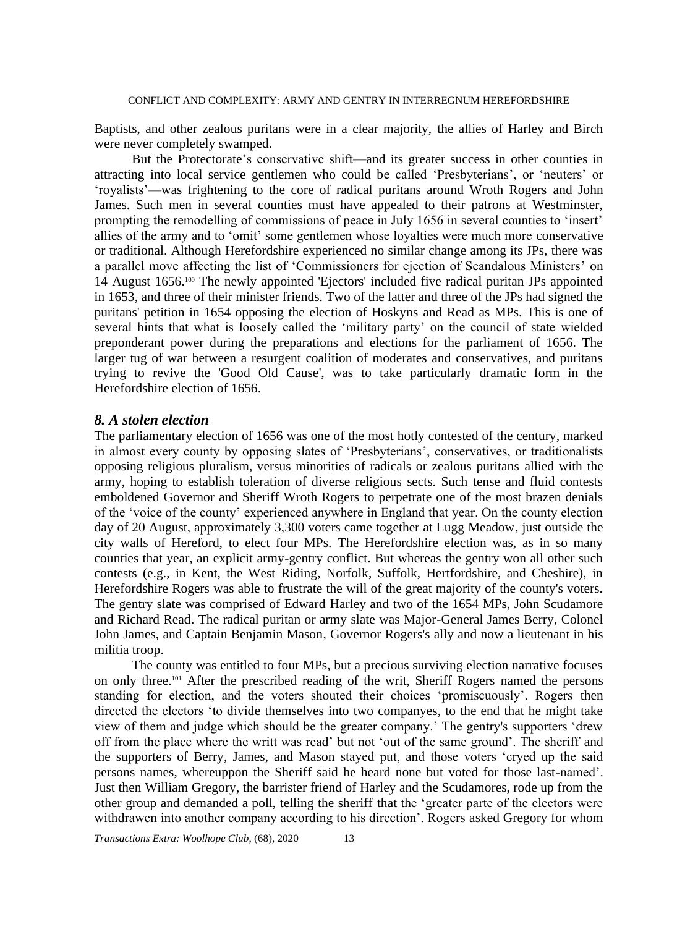Baptists, and other zealous puritans were in a clear majority, the allies of Harley and Birch were never completely swamped.

But the Protectorate's conservative shift—and its greater success in other counties in attracting into local service gentlemen who could be called 'Presbyterians', or 'neuters' or 'royalists'—was frightening to the core of radical puritans around Wroth Rogers and John James. Such men in several counties must have appealed to their patrons at Westminster, prompting the remodelling of commissions of peace in July 1656 in several counties to 'insert' allies of the army and to 'omit' some gentlemen whose loyalties were much more conservative or traditional. Although Herefordshire experienced no similar change among its JPs, there was a parallel move affecting the list of 'Commissioners for ejection of Scandalous Ministers' on 14 August 1656. <sup>100</sup> The newly appointed 'Ejectors' included five radical puritan JPs appointed in 1653, and three of their minister friends. Two of the latter and three of the JPs had signed the puritans' petition in 1654 opposing the election of Hoskyns and Read as MPs. This is one of several hints that what is loosely called the 'military party' on the council of state wielded preponderant power during the preparations and elections for the parliament of 1656. The larger tug of war between a resurgent coalition of moderates and conservatives, and puritans trying to revive the 'Good Old Cause', was to take particularly dramatic form in the Herefordshire election of 1656.

# *8. A stolen election*

The parliamentary election of 1656 was one of the most hotly contested of the century, marked in almost every county by opposing slates of 'Presbyterians', conservatives, or traditionalists opposing religious pluralism, versus minorities of radicals or zealous puritans allied with the army, hoping to establish toleration of diverse religious sects. Such tense and fluid contests emboldened Governor and Sheriff Wroth Rogers to perpetrate one of the most brazen denials of the 'voice of the county' experienced anywhere in England that year. On the county election day of 20 August, approximately 3,300 voters came together at Lugg Meadow, just outside the city walls of Hereford, to elect four MPs. The Herefordshire election was, as in so many counties that year, an explicit army-gentry conflict. But whereas the gentry won all other such contests (e.g., in Kent, the West Riding, Norfolk, Suffolk, Hertfordshire, and Cheshire), in Herefordshire Rogers was able to frustrate the will of the great majority of the county's voters. The gentry slate was comprised of Edward Harley and two of the 1654 MPs, John Scudamore and Richard Read. The radical puritan or army slate was Major-General James Berry, Colonel John James, and Captain Benjamin Mason, Governor Rogers's ally and now a lieutenant in his militia troop.

The county was entitled to four MPs, but a precious surviving election narrative focuses on only three.<sup>101</sup> After the prescribed reading of the writ, Sheriff Rogers named the persons standing for election, and the voters shouted their choices 'promiscuously'. Rogers then directed the electors 'to divide themselves into two companyes, to the end that he might take view of them and judge which should be the greater company.' The gentry's supporters 'drew off from the place where the writt was read' but not 'out of the same ground'. The sheriff and the supporters of Berry, James, and Mason stayed put, and those voters 'cryed up the said persons names, whereuppon the Sheriff said he heard none but voted for those last-named'. Just then William Gregory, the barrister friend of Harley and the Scudamores, rode up from the other group and demanded a poll, telling the sheriff that the 'greater parte of the electors were withdrawen into another company according to his direction'. Rogers asked Gregory for whom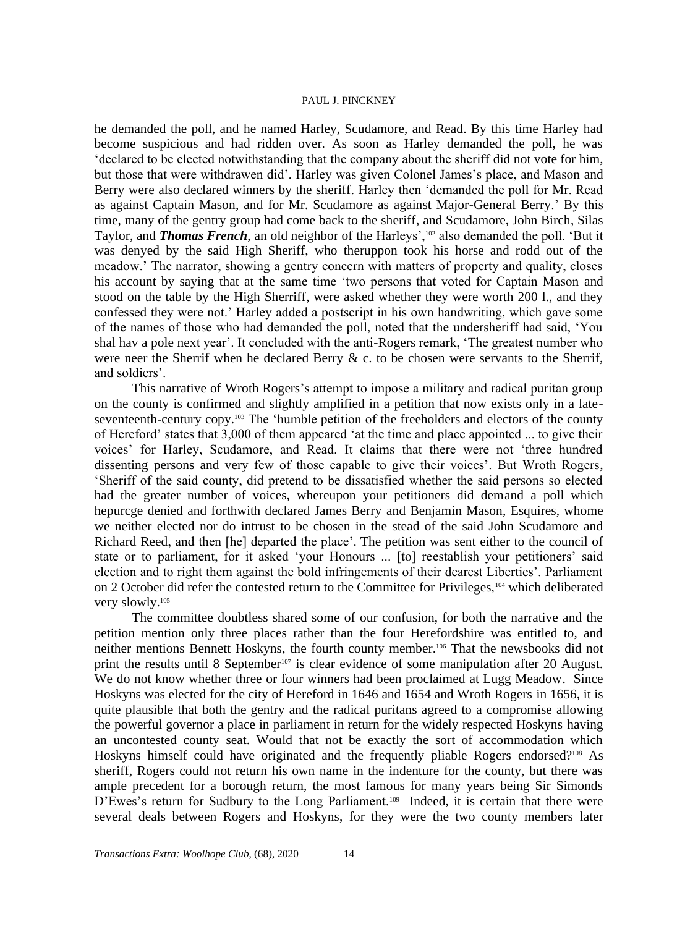he demanded the poll, and he named Harley, Scudamore, and Read. By this time Harley had become suspicious and had ridden over. As soon as Harley demanded the poll, he was 'declared to be elected notwithstanding that the company about the sheriff did not vote for him, but those that were withdrawen did'. Harley was given Colonel James's place, and Mason and Berry were also declared winners by the sheriff. Harley then 'demanded the poll for Mr. Read as against Captain Mason, and for Mr. Scudamore as against Major-General Berry.' By this time, many of the gentry group had come back to the sheriff, and Scudamore, John Birch, Silas Taylor, and *Thomas French*, an old neighbor of the Harleys',<sup>102</sup> also demanded the poll. 'But it was denyed by the said High Sheriff, who theruppon took his horse and rodd out of the meadow.' The narrator, showing a gentry concern with matters of property and quality, closes his account by saying that at the same time 'two persons that voted for Captain Mason and stood on the table by the High Sherriff, were asked whether they were worth 200 l., and they confessed they were not.' Harley added a postscript in his own handwriting, which gave some of the names of those who had demanded the poll, noted that the undersheriff had said, 'You shal hav a pole next year'. It concluded with the anti-Rogers remark, 'The greatest number who were neer the Sherrif when he declared Berry & c. to be chosen were servants to the Sherrif, and soldiers'.

This narrative of Wroth Rogers's attempt to impose a military and radical puritan group on the county is confirmed and slightly amplified in a petition that now exists only in a lateseventeenth-century copy.<sup>103</sup> The 'humble petition of the freeholders and electors of the county of Hereford' states that 3,000 of them appeared 'at the time and place appointed ... to give their voices' for Harley, Scudamore, and Read. It claims that there were not 'three hundred dissenting persons and very few of those capable to give their voices'. But Wroth Rogers, 'Sheriff of the said county, did pretend to be dissatisfied whether the said persons so elected had the greater number of voices, whereupon your petitioners did demand a poll which hepurcge denied and forthwith declared James Berry and Benjamin Mason, Esquires, whome we neither elected nor do intrust to be chosen in the stead of the said John Scudamore and Richard Reed, and then [he] departed the place'. The petition was sent either to the council of state or to parliament, for it asked 'your Honours ... [to] reestablish your petitioners' said election and to right them against the bold infringements of their dearest Liberties'. Parliament on 2 October did refer the contested return to the Committee for Privileges, <sup>104</sup> which deliberated very slowly.<sup>105</sup>

The committee doubtless shared some of our confusion, for both the narrative and the petition mention only three places rather than the four Herefordshire was entitled to, and neither mentions Bennett Hoskyns, the fourth county member.<sup>106</sup> That the newsbooks did not print the results until 8 September<sup>107</sup> is clear evidence of some manipulation after 20 August. We do not know whether three or four winners had been proclaimed at Lugg Meadow. Since Hoskyns was elected for the city of Hereford in 1646 and 1654 and Wroth Rogers in 1656, it is quite plausible that both the gentry and the radical puritans agreed to a compromise allowing the powerful governor a place in parliament in return for the widely respected Hoskyns having an uncontested county seat. Would that not be exactly the sort of accommodation which Hoskyns himself could have originated and the frequently pliable Rogers endorsed?<sup>108</sup> As sheriff, Rogers could not return his own name in the indenture for the county, but there was ample precedent for a borough return, the most famous for many years being Sir Simonds D'Ewes's return for Sudbury to the Long Parliament.<sup>109</sup> Indeed, it is certain that there were several deals between Rogers and Hoskyns, for they were the two county members later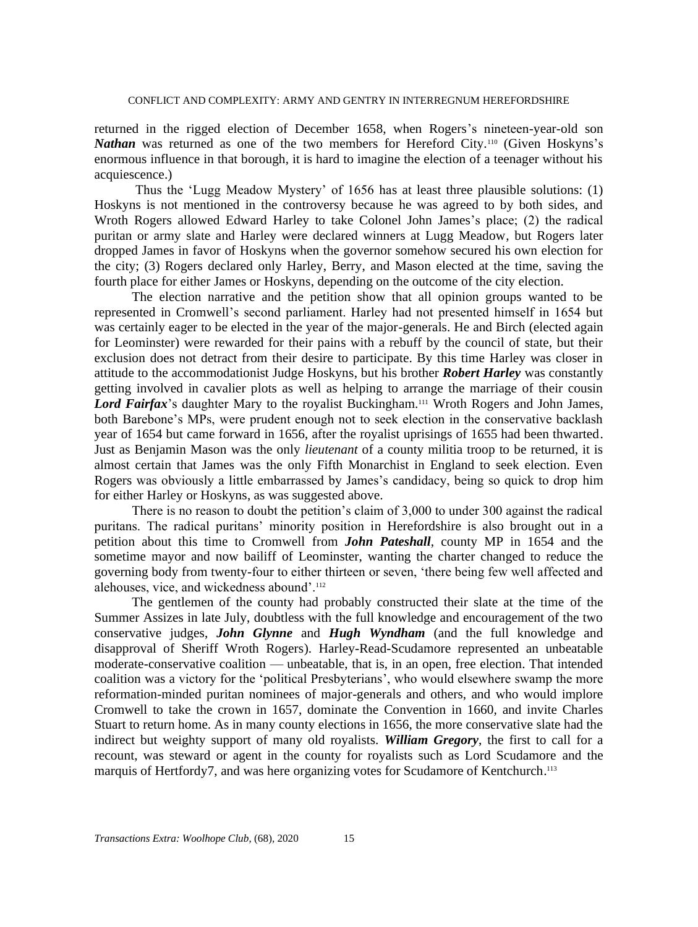returned in the rigged election of December 1658, when Rogers's nineteen-year-old son *Nathan* was returned as one of the two members for Hereford City.<sup>110</sup> (Given Hoskyns's enormous influence in that borough, it is hard to imagine the election of a teenager without his acquiescence.)

Thus the 'Lugg Meadow Mystery' of 1656 has at least three plausible solutions: (1) Hoskyns is not mentioned in the controversy because he was agreed to by both sides, and Wroth Rogers allowed Edward Harley to take Colonel John James's place; (2) the radical puritan or army slate and Harley were declared winners at Lugg Meadow, but Rogers later dropped James in favor of Hoskyns when the governor somehow secured his own election for the city; (3) Rogers declared only Harley, Berry, and Mason elected at the time, saving the fourth place for either James or Hoskyns, depending on the outcome of the city election.

The election narrative and the petition show that all opinion groups wanted to be represented in Cromwell's second parliament. Harley had not presented himself in 1654 but was certainly eager to be elected in the year of the major-generals. He and Birch (elected again for Leominster) were rewarded for their pains with a rebuff by the council of state, but their exclusion does not detract from their desire to participate. By this time Harley was closer in attitude to the accommodationist Judge Hoskyns, but his brother *Robert Harley* was constantly getting involved in cavalier plots as well as helping to arrange the marriage of their cousin Lord Fairfax's daughter Mary to the royalist Buckingham.<sup>111</sup> Wroth Rogers and John James, both Barebone's MPs, were prudent enough not to seek election in the conservative backlash year of 1654 but came forward in 1656, after the royalist uprisings of 1655 had been thwarted. Just as Benjamin Mason was the only *lieutenant* of a county militia troop to be returned, it is almost certain that James was the only Fifth Monarchist in England to seek election. Even Rogers was obviously a little embarrassed by James's candidacy, being so quick to drop him for either Harley or Hoskyns, as was suggested above.

There is no reason to doubt the petition's claim of 3,000 to under 300 against the radical puritans. The radical puritans' minority position in Herefordshire is also brought out in a petition about this time to Cromwell from *John Pateshall*, county MP in 1654 and the sometime mayor and now bailiff of Leominster, wanting the charter changed to reduce the governing body from twenty-four to either thirteen or seven, 'there being few well affected and alehouses, vice, and wickedness abound'.<sup>112</sup>

The gentlemen of the county had probably constructed their slate at the time of the Summer Assizes in late July, doubtless with the full knowledge and encouragement of the two conservative judges, *John Glynne* and *Hugh Wyndham* (and the full knowledge and disapproval of Sheriff Wroth Rogers). Harley-Read-Scudamore represented an unbeatable moderate-conservative coalition — unbeatable, that is, in an open, free election. That intended coalition was a victory for the 'political Presbyterians', who would elsewhere swamp the more reformation-minded puritan nominees of major-generals and others, and who would implore Cromwell to take the crown in 1657, dominate the Convention in 1660, and invite Charles Stuart to return home. As in many county elections in 1656, the more conservative slate had the indirect but weighty support of many old royalists. *William Gregory*, the first to call for a recount, was steward or agent in the county for royalists such as Lord Scudamore and the marquis of Hertfordy7, and was here organizing votes for Scudamore of Kentchurch.<sup>113</sup>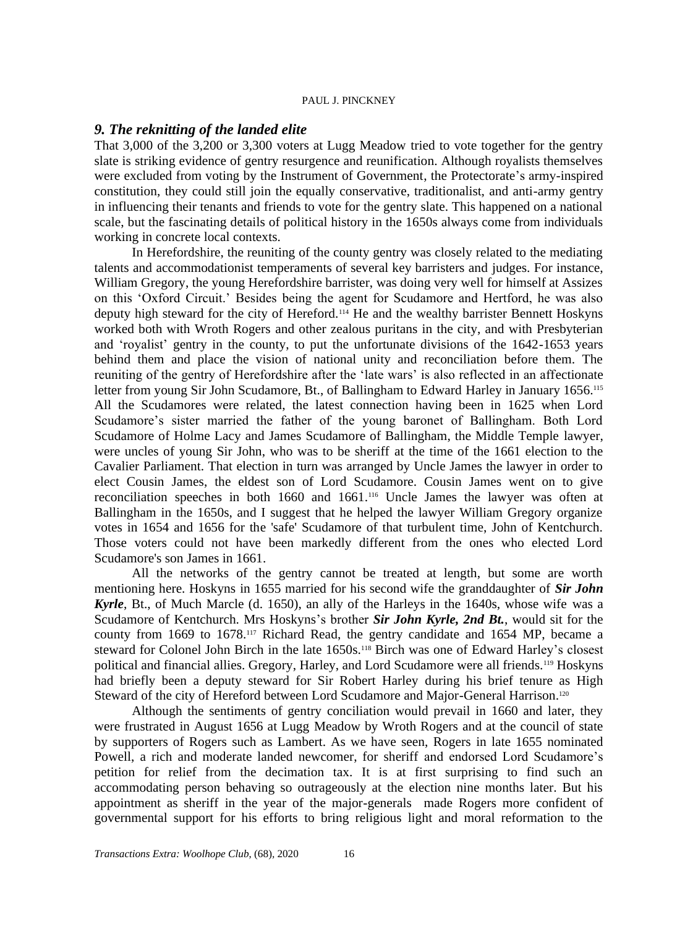# *9. The reknitting of the landed elite*

That 3,000 of the 3,200 or 3,300 voters at Lugg Meadow tried to vote together for the gentry slate is striking evidence of gentry resurgence and reunification. Although royalists themselves were excluded from voting by the Instrument of Government, the Protectorate's army-inspired constitution, they could still join the equally conservative, traditionalist, and anti-army gentry in influencing their tenants and friends to vote for the gentry slate. This happened on a national scale, but the fascinating details of political history in the 1650s always come from individuals working in concrete local contexts.

In Herefordshire, the reuniting of the county gentry was closely related to the mediating talents and accommodationist temperaments of several key barristers and judges. For instance, William Gregory, the young Herefordshire barrister, was doing very well for himself at Assizes on this 'Oxford Circuit.' Besides being the agent for Scudamore and Hertford, he was also deputy high steward for the city of Hereford.<sup>114</sup> He and the wealthy barrister Bennett Hoskyns worked both with Wroth Rogers and other zealous puritans in the city, and with Presbyterian and 'royalist' gentry in the county, to put the unfortunate divisions of the 1642-1653 years behind them and place the vision of national unity and reconciliation before them. The reuniting of the gentry of Herefordshire after the 'late wars' is also reflected in an affectionate letter from young Sir John Scudamore, Bt., of Ballingham to Edward Harley in January 1656.<sup>115</sup> All the Scudamores were related, the latest connection having been in 1625 when Lord Scudamore's sister married the father of the young baronet of Ballingham. Both Lord Scudamore of Holme Lacy and James Scudamore of Ballingham, the Middle Temple lawyer, were uncles of young Sir John, who was to be sheriff at the time of the 1661 election to the Cavalier Parliament. That election in turn was arranged by Uncle James the lawyer in order to elect Cousin James, the eldest son of Lord Scudamore. Cousin James went on to give reconciliation speeches in both 1660 and 1661.<sup>116</sup> Uncle James the lawyer was often at Ballingham in the 1650s, and I suggest that he helped the lawyer William Gregory organize votes in 1654 and 1656 for the 'safe' Scudamore of that turbulent time, John of Kentchurch. Those voters could not have been markedly different from the ones who elected Lord Scudamore's son James in 1661.

All the networks of the gentry cannot be treated at length, but some are worth mentioning here. Hoskyns in 1655 married for his second wife the granddaughter of *Sir John Kyrle*, Bt., of Much Marcle (d. 1650), an ally of the Harleys in the 1640s, whose wife was a Scudamore of Kentchurch. Mrs Hoskyns's brother *Sir John Kyrle, 2nd Bt.*, would sit for the county from 1669 to 1678.<sup>117</sup> Richard Read, the gentry candidate and 1654 MP, became a steward for Colonel John Birch in the late 1650s.<sup>118</sup> Birch was one of Edward Harley's closest political and financial allies. Gregory, Harley, and Lord Scudamore were all friends.<sup>119</sup> Hoskyns had briefly been a deputy steward for Sir Robert Harley during his brief tenure as High Steward of the city of Hereford between Lord Scudamore and Major-General Harrison.<sup>120</sup>

Although the sentiments of gentry conciliation would prevail in 1660 and later, they were frustrated in August 1656 at Lugg Meadow by Wroth Rogers and at the council of state by supporters of Rogers such as Lambert. As we have seen, Rogers in late 1655 nominated Powell, a rich and moderate landed newcomer, for sheriff and endorsed Lord Scudamore's petition for relief from the decimation tax. It is at first surprising to find such an accommodating person behaving so outrageously at the election nine months later. But his appointment as sheriff in the year of the major-generals made Rogers more confident of governmental support for his efforts to bring religious light and moral reformation to the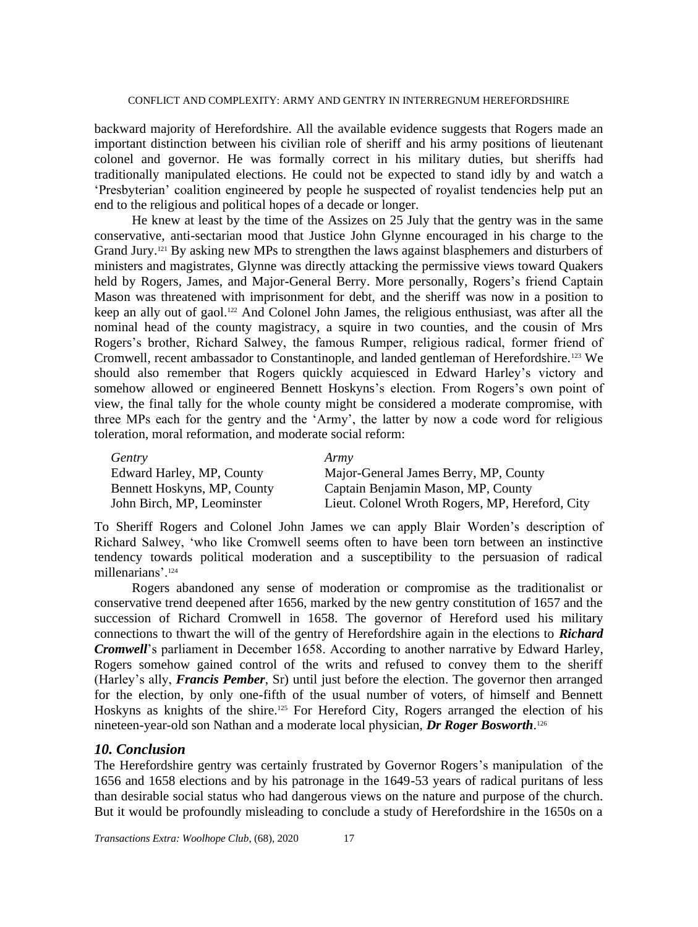backward majority of Herefordshire. All the available evidence suggests that Rogers made an important distinction between his civilian role of sheriff and his army positions of lieutenant colonel and governor. He was formally correct in his military duties, but sheriffs had traditionally manipulated elections. He could not be expected to stand idly by and watch a 'Presbyterian' coalition engineered by people he suspected of royalist tendencies help put an end to the religious and political hopes of a decade or longer.

He knew at least by the time of the Assizes on 25 July that the gentry was in the same conservative, anti-sectarian mood that Justice John Glynne encouraged in his charge to the Grand Jury.<sup>121</sup> By asking new MPs to strengthen the laws against blasphemers and disturbers of ministers and magistrates, Glynne was directly attacking the permissive views toward Quakers held by Rogers, James, and Major-General Berry. More personally, Rogers's friend Captain Mason was threatened with imprisonment for debt, and the sheriff was now in a position to keep an ally out of gaol.<sup>122</sup> And Colonel John James, the religious enthusiast, was after all the nominal head of the county magistracy, a squire in two counties, and the cousin of Mrs Rogers's brother, Richard Salwey, the famous Rumper, religious radical, former friend of Cromwell, recent ambassador to Constantinople, and landed gentleman of Herefordshire.<sup>123</sup> We should also remember that Rogers quickly acquiesced in Edward Harley's victory and somehow allowed or engineered Bennett Hoskyns's election. From Rogers's own point of view, the final tally for the whole county might be considered a moderate compromise, with three MPs each for the gentry and the 'Army', the latter by now a code word for religious toleration, moral reformation, and moderate social reform:

| Gentry                      | Army                                            |
|-----------------------------|-------------------------------------------------|
| Edward Harley, MP, County   | Major-General James Berry, MP, County           |
| Bennett Hoskyns, MP, County | Captain Benjamin Mason, MP, County              |
| John Birch, MP, Leominster  | Lieut. Colonel Wroth Rogers, MP, Hereford, City |

To Sheriff Rogers and Colonel John James we can apply Blair Worden's description of Richard Salwey, 'who like Cromwell seems often to have been torn between an instinctive tendency towards political moderation and a susceptibility to the persuasion of radical millenarians'.<sup>124</sup>

Rogers abandoned any sense of moderation or compromise as the traditionalist or conservative trend deepened after 1656, marked by the new gentry constitution of 1657 and the succession of Richard Cromwell in 1658. The governor of Hereford used his military connections to thwart the will of the gentry of Herefordshire again in the elections to *Richard Cromwell*'s parliament in December 1658. According to another narrative by Edward Harley, Rogers somehow gained control of the writs and refused to convey them to the sheriff (Harley's ally, *Francis Pember*, Sr) until just before the election. The governor then arranged for the election, by only one-fifth of the usual number of voters, of himself and Bennett Hoskyns as knights of the shire.<sup>125</sup> For Hereford City, Rogers arranged the election of his nineteen-year-old son Nathan and a moderate local physician, *Dr Roger Bosworth*. 126

# *10. Conclusion*

The Herefordshire gentry was certainly frustrated by Governor Rogers's manipulation of the 1656 and 1658 elections and by his patronage in the 1649-53 years of radical puritans of less than desirable social status who had dangerous views on the nature and purpose of the church. But it would be profoundly misleading to conclude a study of Herefordshire in the 1650s on a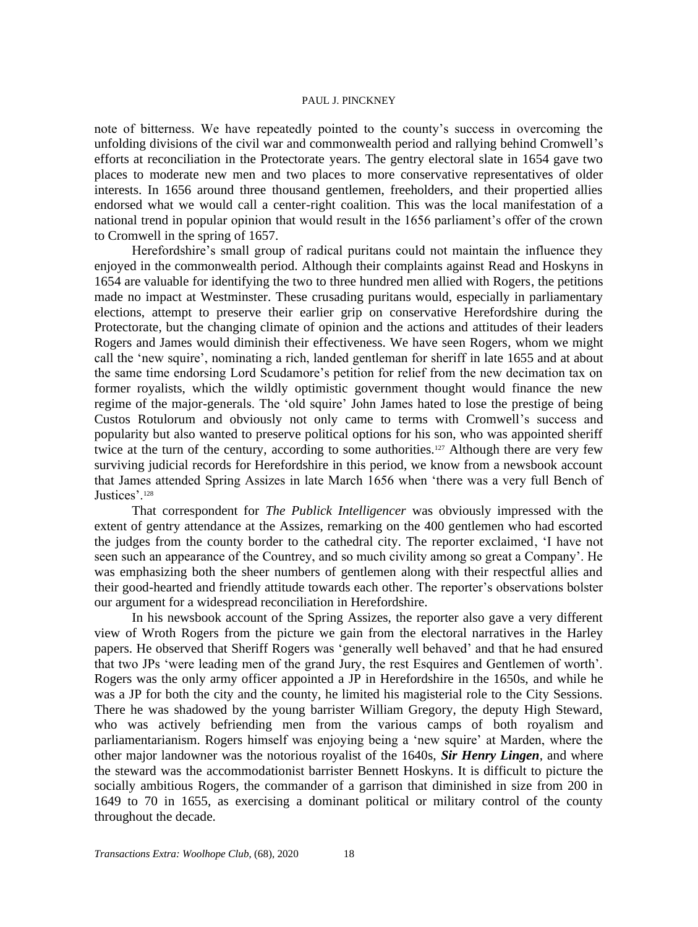note of bitterness. We have repeatedly pointed to the county's success in overcoming the unfolding divisions of the civil war and commonwealth period and rallying behind Cromwell's efforts at reconciliation in the Protectorate years. The gentry electoral slate in 1654 gave two places to moderate new men and two places to more conservative representatives of older interests. In 1656 around three thousand gentlemen, freeholders, and their propertied allies endorsed what we would call a center-right coalition. This was the local manifestation of a national trend in popular opinion that would result in the 1656 parliament's offer of the crown to Cromwell in the spring of 1657.

Herefordshire's small group of radical puritans could not maintain the influence they enjoyed in the commonwealth period. Although their complaints against Read and Hoskyns in 1654 are valuable for identifying the two to three hundred men allied with Rogers, the petitions made no impact at Westminster. These crusading puritans would, especially in parliamentary elections, attempt to preserve their earlier grip on conservative Herefordshire during the Protectorate, but the changing climate of opinion and the actions and attitudes of their leaders Rogers and James would diminish their effectiveness. We have seen Rogers, whom we might call the 'new squire', nominating a rich, landed gentleman for sheriff in late 1655 and at about the same time endorsing Lord Scudamore's petition for relief from the new decimation tax on former royalists, which the wildly optimistic government thought would finance the new regime of the major-generals. The 'old squire' John James hated to lose the prestige of being Custos Rotulorum and obviously not only came to terms with Cromwell's success and popularity but also wanted to preserve political options for his son, who was appointed sheriff twice at the turn of the century, according to some authorities.<sup>127</sup> Although there are very few surviving judicial records for Herefordshire in this period, we know from a newsbook account that James attended Spring Assizes in late March 1656 when 'there was a very full Bench of Justices'.<sup>128</sup>

That correspondent for *The Publick Intelligencer* was obviously impressed with the extent of gentry attendance at the Assizes, remarking on the 400 gentlemen who had escorted the judges from the county border to the cathedral city. The reporter exclaimed, 'I have not seen such an appearance of the Countrey, and so much civility among so great a Company'. He was emphasizing both the sheer numbers of gentlemen along with their respectful allies and their good-hearted and friendly attitude towards each other. The reporter's observations bolster our argument for a widespread reconciliation in Herefordshire.

In his newsbook account of the Spring Assizes, the reporter also gave a very different view of Wroth Rogers from the picture we gain from the electoral narratives in the Harley papers. He observed that Sheriff Rogers was 'generally well behaved' and that he had ensured that two JPs 'were leading men of the grand Jury, the rest Esquires and Gentlemen of worth'. Rogers was the only army officer appointed a JP in Herefordshire in the 1650s, and while he was a JP for both the city and the county, he limited his magisterial role to the City Sessions. There he was shadowed by the young barrister William Gregory, the deputy High Steward, who was actively befriending men from the various camps of both royalism and parliamentarianism. Rogers himself was enjoying being a 'new squire' at Marden, where the other major landowner was the notorious royalist of the 1640s, *Sir Henry Lingen*, and where the steward was the accommodationist barrister Bennett Hoskyns. It is difficult to picture the socially ambitious Rogers, the commander of a garrison that diminished in size from 200 in 1649 to 70 in 1655, as exercising a dominant political or military control of the county throughout the decade.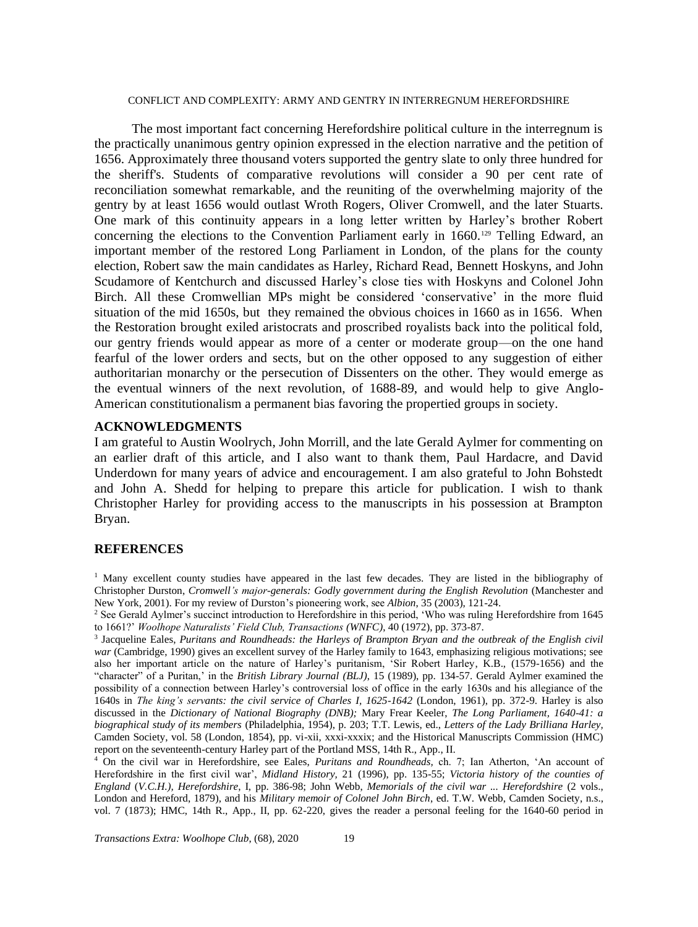The most important fact concerning Herefordshire political culture in the interregnum is the practically unanimous gentry opinion expressed in the election narrative and the petition of 1656. Approximately three thousand voters supported the gentry slate to only three hundred for the sheriff's. Students of comparative revolutions will consider a 90 per cent rate of reconciliation somewhat remarkable, and the reuniting of the overwhelming majority of the gentry by at least 1656 would outlast Wroth Rogers, Oliver Cromwell, and the later Stuarts. One mark of this continuity appears in a long letter written by Harley's brother Robert concerning the elections to the Convention Parliament early in  $1660$ .<sup>129</sup> Telling Edward, an important member of the restored Long Parliament in London, of the plans for the county election, Robert saw the main candidates as Harley, Richard Read, Bennett Hoskyns, and John Scudamore of Kentchurch and discussed Harley's close ties with Hoskyns and Colonel John Birch. All these Cromwellian MPs might be considered 'conservative' in the more fluid situation of the mid 1650s, but they remained the obvious choices in 1660 as in 1656. When the Restoration brought exiled aristocrats and proscribed royalists back into the political fold, our gentry friends would appear as more of a center or moderate group—on the one hand fearful of the lower orders and sects, but on the other opposed to any suggestion of either authoritarian monarchy or the persecution of Dissenters on the other. They would emerge as the eventual winners of the next revolution, of 1688-89, and would help to give Anglo-American constitutionalism a permanent bias favoring the propertied groups in society.

# **ACKNOWLEDGMENTS**

I am grateful to Austin Woolrych, John Morrill, and the late Gerald Aylmer for commenting on an earlier draft of this article, and I also want to thank them, Paul Hardacre, and David Underdown for many years of advice and encouragement. I am also grateful to John Bohstedt and John A. Shedd for helping to prepare this article for publication. I wish to thank Christopher Harley for providing access to the manuscripts in his possession at Brampton Bryan.

#### **REFERENCES**

<sup>1</sup> Many excellent county studies have appeared in the last few decades. They are listed in the bibliography of Christopher Durston, *Cromwell's major-generals: Godly government during the English Revolution* (Manchester and New York, 2001). For my review of Durston's pioneering work, see *Albion*, 35 (2003), 121-24.

3 Jacqueline Eales, *Puritans and Roundheads: the Harleys of Brampton Bryan and the outbreak of the English civil war* (Cambridge, 1990) gives an excellent survey of the Harley family to 1643, emphasizing religious motivations; see also her important article on the nature of Harley's puritanism, 'Sir Robert Harley, K.B., (1579-1656) and the "character" of a Puritan,' in the *British Library Journal (BLJ)*, 15 (1989), pp. 134-57. Gerald Aylmer examined the possibility of a connection between Harley's controversial loss of office in the early 1630s and his allegiance of the 1640s in *The king's servants: the civil service of Charles I, 1625-1642* (London, 1961), pp. 372-9. Harley is also discussed in the *Dictionary of National Biography (DNB);* Mary Frear Keeler, *The Long Parliament, 1640-41: a biographical study of its members* (Philadelphia, 1954), p. 203; T.T. Lewis, ed., *Letters of the Lady Brilliana Harley,* Camden Society, vol. 58 (London, 1854), pp. vi-xii, xxxi-xxxix; and the Historical Manuscripts Commission (HMC) report on the seventeenth-century Harley part of the Portland MSS, 14th R., App., II.

<sup>4</sup> On the civil war in Herefordshire, see Eales, *Puritans and Roundheads,* ch. 7; Ian Atherton, 'An account of Herefordshire in the first civil war', *Midland History,* 21 (1996), pp. 135-55; *Victoria history of the counties of England* (*V.C.H.), Herefordshire*, I, pp. 386-98; John Webb, *Memorials of the civil war ... Herefordshire* (2 vols., London and Hereford, 1879), and his *Military memoir of Colonel John Birch*, ed. T.W. Webb, Camden Society, n.s., vol. 7 (1873); HMC, 14th R., App., II, pp. 62-220, gives the reader a personal feeling for the 1640-60 period in

*Transactions Extra: Woolhope Club*, (68)*,* 2020 19

<sup>&</sup>lt;sup>2</sup> See Gerald Aylmer's succinct introduction to Herefordshire in this period, 'Who was ruling Herefordshire from 1645 to 1661?' *Woolhope Naturalists' Field Club, Transactions (WNFC)*, 40 (1972), pp. 373-87.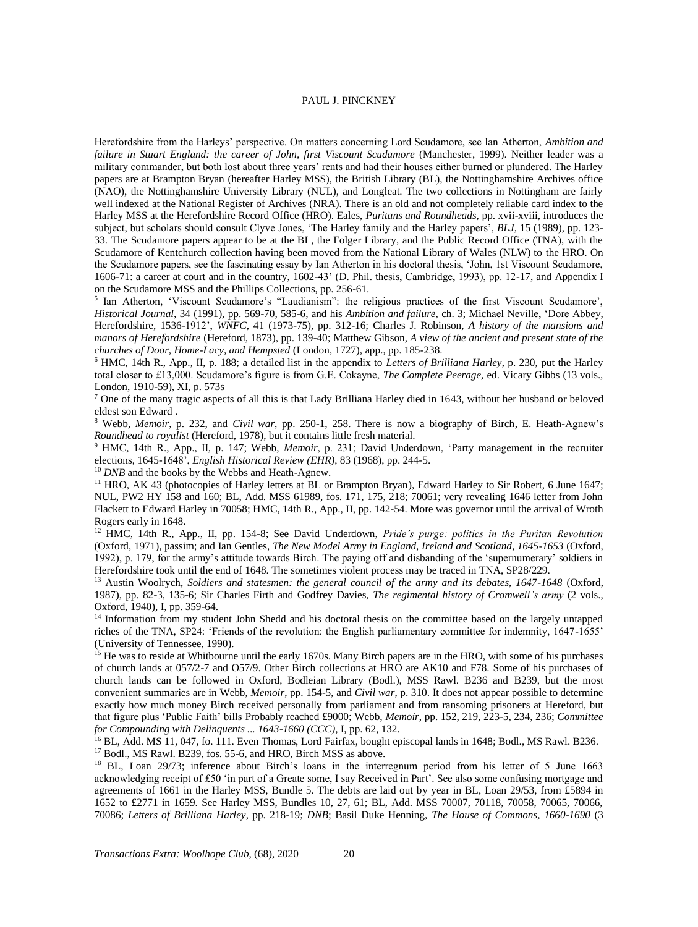Herefordshire from the Harleys' perspective. On matters concerning Lord Scudamore, see Ian Atherton, *Ambition and failure in Stuart England: the career of John, first Viscount Scudamore* (Manchester, 1999). Neither leader was a military commander, but both lost about three years' rents and had their houses either burned or plundered. The Harley papers are at Brampton Bryan (hereafter Harley MSS), the British Library (BL), the Nottinghamshire Archives office (NAO), the Nottinghamshire University Library (NUL), and Longleat. The two collections in Nottingham are fairly well indexed at the National Register of Archives (NRA). There is an old and not completely reliable card index to the Harley MSS at the Herefordshire Record Office (HRO). Eales, *Puritans and Roundheads,* pp. xvii-xviii, introduces the subject, but scholars should consult Clyve Jones, 'The Harley family and the Harley papers', *BLJ*, 15 (1989), pp. 123- 33. The Scudamore papers appear to be at the BL, the Folger Library, and the Public Record Office (TNA), with the Scudamore of Kentchurch collection having been moved from the National Library of Wales (NLW) to the HRO. On the Scudamore papers, see the fascinating essay by Ian Atherton in his doctoral thesis, 'John, 1st Viscount Scudamore, 1606-71: a career at court and in the country, 1602-43' (D. Phil. thesis, Cambridge, 1993), pp. 12-17, and Appendix I on the Scudamore MSS and the Phillips Collections, pp. 256-61.

5 Ian Atherton, 'Viscount Scudamore's "Laudianism": the religious practices of the first Viscount Scudamore', *Historical Journal,* 34 (1991), pp. 569-70, 585-6, and his *Ambition and failure,* ch. 3; Michael Neville, 'Dore Abbey, Herefordshire, 1536-1912', *WNFC*, 41 (1973-75), pp. 312-16; Charles J. Robinson, *A history of the mansions and manors of Herefordshire* (Hereford, 1873), pp. 139-40; Matthew Gibson, *A view of the ancient and present state of the churches of Door, Home-Lacy, and Hempsted* (London, 1727), app., pp. 185-238.

<sup>6</sup> HMC, 14th R., App., II, p. 188; a detailed list in the appendix to *Letters of Brilliana Harley*, p. 230, put the Harley total closer to £13,000. Scudamore's figure is from G.E. Cokayne, *The Complete Peerage,* ed. Vicary Gibbs (13 vols., London, 1910-59), XI, p. 573s

<sup>7</sup> One of the many tragic aspects of all this is that Lady Brilliana Harley died in 1643, without her husband or beloved eldest son Edward .

<sup>8</sup> Webb, *Memoir*, p. 232, and *Civil war*, pp. 250-1, 258. There is now a biography of Birch, E. Heath-Agnew's *Roundhead to royalist* (Hereford, 1978), but it contains little fresh material.

<sup>9</sup> HMC, 14th R., App., II, p. 147; Webb, *Memoir*, p. 231; David Underdown, 'Party management in the recruiter elections, 1645-1648', *English Historical Review (EHR)*, 83 (1968), pp. 244-5.

<sup>10</sup> *DNB* and the books by the Webbs and Heath-Agnew.

<sup>11</sup> HRO, AK 43 (photocopies of Harley letters at BL or Brampton Bryan), Edward Harley to Sir Robert, 6 June 1647; NUL, PW2 HY 158 and 160; BL, Add. MSS 61989, fos. 171, 175, 218; 70061; very revealing 1646 letter from John Flackett to Edward Harley in 70058; HMC, 14th R., App., II, pp. 142-54. More was governor until the arrival of Wroth Rogers early in 1648.

<sup>12</sup> HMC*,* 14th R., App., II, pp. 154-8; See David Underdown, *Pride's purge: politics in the Puritan Revolution* (Oxford, 1971)*,* passim; and Ian Gentles, *The New Model Army in England, Ireland and Scotland, 1645-1653* (Oxford, 1992), p. 179, for the army's attitude towards Birch. The paying off and disbanding of the 'supernumerary' soldiers in Herefordshire took until the end of 1648. The sometimes violent process may be traced in TNA, SP28/229.

<sup>13</sup> Austin Woolrych, *Soldiers and statesmen: the general council of the army and its debates, 1647-1648* (Oxford, 1987), pp. 82-3, 135-6; Sir Charles Firth and Godfrey Davies, *The regimental history of Cromwell's army* (2 vols., Oxford, 1940), I, pp. 359-64.

<sup>14</sup> Information from my student John Shedd and his doctoral thesis on the committee based on the largely untapped riches of the TNA, SP24: 'Friends of the revolution: the English parliamentary committee for indemnity, 1647-1655' (University of Tennessee, 1990).

<sup>15</sup> He was to reside at Whitbourne until the early 1670s. Many Birch papers are in the HRO, with some of his purchases of church lands at 057/2-7 and O57/9. Other Birch collections at HRO are AK10 and F78. Some of his purchases of church lands can be followed in Oxford, Bodleian Library (Bodl.), MSS Rawl. B236 and B239, but the most convenient summaries are in Webb, *Memoir*, pp. 154-5, and *Civil war*, p. 310. It does not appear possible to determine exactly how much money Birch received personally from parliament and from ransoming prisoners at Hereford, but that figure plus 'Public Faith' bills Probably reached £9000; Webb, *Memoir*, pp. 152, 219, 223-5, 234, 236; *Committee for Compounding with Delinquents ... 1643-1660 (CCC)*, I, pp. 62, 132.

<sup>16</sup> BL, Add. MS 11, 047, fo. 111. Even Thomas, Lord Fairfax, bought episcopal lands in 1648; Bodl., MS Rawl. B236. <sup>17</sup> Bodl., MS Rawl. B239, fos. 55-6, and HRO, Birch MSS as above.

<sup>18</sup> BL, Loan 29/73; inference about Birch's loans in the interregnum period from his letter of 5 June 1663 acknowledging receipt of £50 'in part of a Greate some, I say Received in Part'. See also some confusing mortgage and agreements of 1661 in the Harley MSS, Bundle 5. The debts are laid out by year in BL, Loan 29/53, from £5894 in 1652 to £2771 in 1659. See Harley MSS, Bundles 10, 27, 61; BL, Add. MSS 70007, 70118, 70058, 70065, 70066, 70086; *Letters of Brilliana Harley*, pp. 218-19; *DNB*; Basil Duke Henning, *The House of Commons, 1660-1690* (3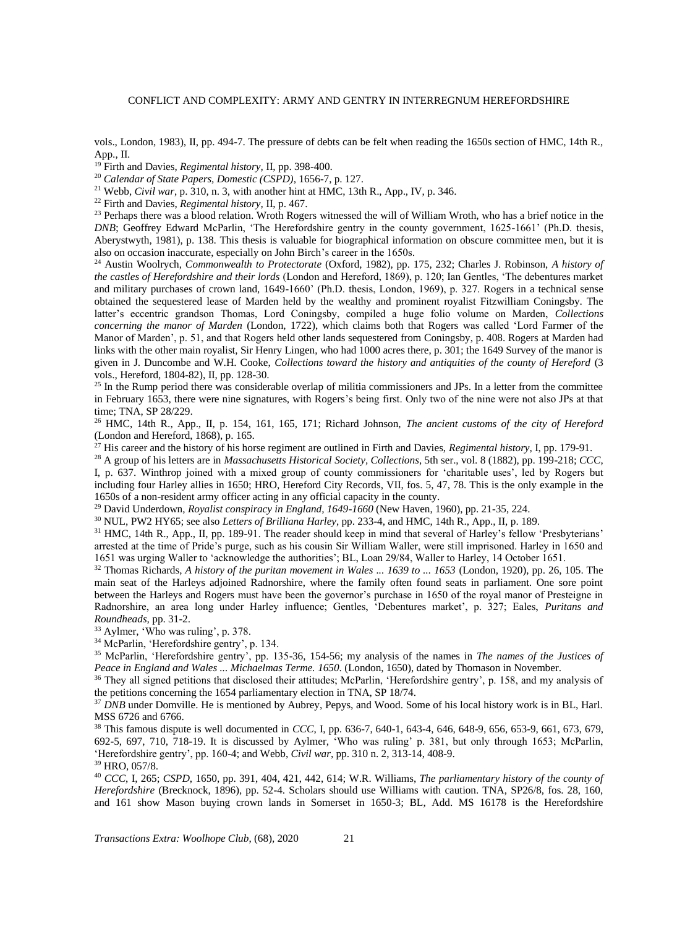vols., London, 1983), II, pp. 494-7. The pressure of debts can be felt when reading the 1650s section of HMC, 14th R., App., II.

<sup>19</sup> Firth and Davies, *Regimental history,* II, pp. 398-400.

<sup>20</sup> *Calendar of State Papers, Domestic (CSPD)*, 1656-7, p. 127.

<sup>21</sup> Webb, *Civil war*, p. 310, n. 3, with another hint at HMC, 13th R., App., IV, p. 346.

<sup>22</sup> Firth and Davies, *Regimental history,* II, p. 467.

<sup>23</sup> Perhaps there was a blood relation. Wroth Rogers witnessed the will of William Wroth, who has a brief notice in the *DNB*; Geoffrey Edward McParlin, 'The Herefordshire gentry in the county government, 1625-1661' (Ph.D. thesis, Aberystwyth, 1981), p. 138. This thesis is valuable for biographical information on obscure committee men, but it is also on occasion inaccurate, especially on John Birch's career in the 1650s.

<sup>24</sup> Austin Woolrych, *Commonwealth to Protectorate* (Oxford, 1982), pp. 175, 232; Charles J. Robinson, *A history of the castles of Herefordshire and their lords* (London and Hereford, 1869), p. 120; Ian Gentles, 'The debentures market and military purchases of crown land, 1649-1660' (Ph.D. thesis, London, 1969), p. 327. Rogers in a technical sense obtained the sequestered lease of Marden held by the wealthy and prominent royalist Fitzwilliam Coningsby. The latter's eccentric grandson Thomas, Lord Coningsby, compiled a huge folio volume on Marden, *Collections concerning the manor of Marden* (London, 1722), which claims both that Rogers was called 'Lord Farmer of the Manor of Marden', p. 51, and that Rogers held other lands sequestered from Coningsby, p. 408. Rogers at Marden had links with the other main royalist, Sir Henry Lingen, who had 1000 acres there, p. 301; the 1649 Survey of the manor is given in J. Duncombe and W.H. Cooke, *Collections toward the history and antiquities of the county of Hereford* (3 vols., Hereford, 1804-82), II, pp. 128-30.

 $25$  In the Rump period there was considerable overlap of militia commissioners and JPs. In a letter from the committee in February 1653, there were nine signatures, with Rogers's being first. Only two of the nine were not also JPs at that time; TNA, SP 28/229.

<sup>26</sup> HMC, 14th R., App., II, p. 154, 161, 165, 171; Richard Johnson, *The ancient customs of the city of Hereford* (London and Hereford, 1868), p. 165.

<sup>27</sup> His career and the history of his horse regiment are outlined in Firth and Davies, *Regimental history,* I, pp. 179-91.

<sup>28</sup> A group of his letters are in *Massachusetts Historical Society, Collections*, 5th ser., vol. 8 (1882), pp. 199-218; *CCC*,

I, p. 637. Winthrop joined with a mixed group of county commissioners for 'charitable uses', led by Rogers but including four Harley allies in 1650; HRO, Hereford City Records, VII, fos. 5, 47, 78. This is the only example in the 1650s of a non-resident army officer acting in any official capacity in the county.

<sup>29</sup> David Underdown, *Royalist conspiracy in England, 1649-1660* (New Haven, 1960), pp. 21-35, 224.

<sup>30</sup> NUL, PW2 HY65; see also *Letters of Brilliana Harley*, pp. 233-4, and HMC, 14th R., App., II, p. 189.

<sup>31</sup> HMC, 14th R., App., II, pp. 189-91. The reader should keep in mind that several of Harley's fellow 'Presbyterians' arrested at the time of Pride's purge, such as his cousin Sir William Waller, were still imprisoned. Harley in 1650 and 1651 was urging Waller to 'acknowledge the authorities'; BL, Loan 29/84, Waller to Harley, 14 October 1651.

<sup>32</sup> Thomas Richards, *A history of the puritan movement in Wales ... 1639 to ... 1653* (London, 1920), pp. 26, 105. The main seat of the Harleys adjoined Radnorshire, where the family often found seats in parliament. One sore point between the Harleys and Rogers must have been the governor's purchase in 1650 of the royal manor of Presteigne in Radnorshire, an area long under Harley influence; Gentles, 'Debentures market', p. 327; Eales, *Puritans and Roundheads,* pp. 31-2.

<sup>33</sup> Aylmer, 'Who was ruling', p. 378.

<sup>34</sup> McParlin, 'Herefordshire gentry', p. 134.

<sup>35</sup> McParlin, 'Herefordshire gentry', pp. 135-36, 154-56; my analysis of the names in *The names of the Justices of Peace in England and Wales ... Michaelmas Terme. 1650*. (London, 1650), dated by Thomason in November.

<sup>36</sup> They all signed petitions that disclosed their attitudes; McParlin, 'Herefordshire gentry', p. 158, and my analysis of the petitions concerning the 1654 parliamentary election in TNA, SP 18/74.

<sup>37</sup> *DNB* under Domville. He is mentioned by Aubrey, Pepys, and Wood. Some of his local history work is in BL, Harl. MSS 6726 and 6766.

<sup>38</sup> This famous dispute is well documented in *CCC*, I, pp. 636-7, 640-1, 643-4, 646, 648-9, 656, 653-9, 661, 673, 679, 692-5, 697, 710, 718-19. It is discussed by Aylmer, 'Who was ruling' p. 381, but only through 1653; McParlin, 'Herefordshire gentry', pp. 160-4; and Webb, *Civil war,* pp. 310 n. 2, 313-14, 408-9. <sup>39</sup> HRO, 057/8.

<sup>40</sup> *CCC*, I, 265; *CSPD*, 1650, pp. 391, 404, 421, 442, 614; W.R. Williams, *The parliamentary history of the county of Herefordshire* (Brecknock, 1896), pp. 52-4. Scholars should use Williams with caution. TNA, SP26/8, fos. 28, 160, and 161 show Mason buying crown lands in Somerset in 1650-3; BL, Add. MS 16178 is the Herefordshire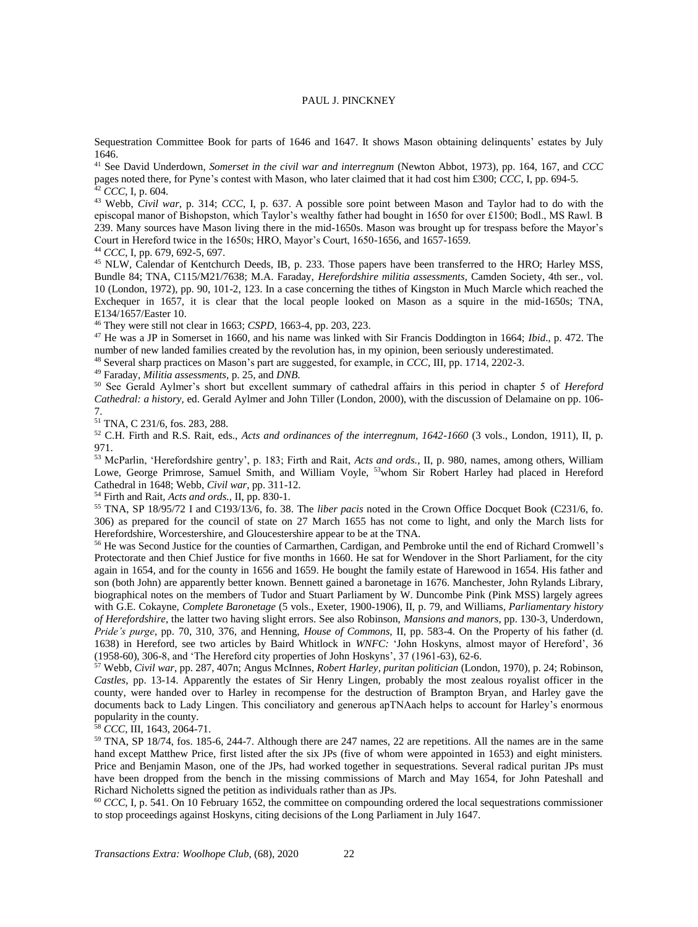Sequestration Committee Book for parts of 1646 and 1647. It shows Mason obtaining delinquents' estates by July 1646.

<sup>41</sup> See David Underdown, *Somerset in the civil war and interregnum* (Newton Abbot, 1973), pp. 164, 167, and *CCC* pages noted there, for Pyne's contest with Mason, who later claimed that it had cost him £300; *CCC*, I, pp. 694-5. <sup>42</sup> *CCC*, I, p. 604.

<sup>43</sup> Webb, *Civil war*, p. 314; *CCC*, I, p. 637. A possible sore point between Mason and Taylor had to do with the episcopal manor of Bishopston, which Taylor's wealthy father had bought in 1650 for over £1500; Bodl., MS Rawl. B 239. Many sources have Mason living there in the mid-1650s. Mason was brought up for trespass before the Mayor's Court in Hereford twice in the 1650s; HRO, Mayor's Court, 1650-1656, and 1657-1659.

<sup>44</sup> *CCC*, I, pp. 679, 692-5, 697.

<sup>45</sup> NLW, Calendar of Kentchurch Deeds, IB, p. 233. Those papers have been transferred to the HRO; Harley MSS, Bundle 84; TNA, C115/M21/7638; M.A. Faraday, *Herefordshire militia assessments,* Camden Society, 4th ser., vol. 10 (London, 1972), pp. 90, 101-2, 123. In a case concerning the tithes of Kingston in Much Marcle which reached the Exchequer in 1657, it is clear that the local people looked on Mason as a squire in the mid-1650s; TNA, E134/1657/Easter 10.

<sup>46</sup> They were still not clear in 1663; *CSPD*, 1663-4, pp. 203, 223.

<sup>47</sup> He was a JP in Somerset in 1660, and his name was linked with Sir Francis Doddington in 1664; *Ibid*., p. 472. The number of new landed families created by the revolution has, in my opinion, been seriously underestimated.

<sup>48</sup> Several sharp practices on Mason's part are suggested, for example, in *CCC*, III, pp. 1714, 2202-3.

<sup>49</sup> Faraday, *Militia assessments,* p. 25, and *DNB*.

<sup>50</sup> See Gerald Aylmer's short but excellent summary of cathedral affairs in this period in chapter 5 of *Hereford Cathedral: a history,* ed. Gerald Aylmer and John Tiller (London, 2000), with the discussion of Delamaine on pp. 106- 7.

<sup>51</sup> TNA, C 231/6, fos. 283, 288.

<sup>52</sup> C.H. Firth and R.S. Rait, eds., *Acts and ordinances of the interregnum, 1642-1660* (3 vols., London, 1911), II, p. 971.

<sup>53</sup> McParlin, 'Herefordshire gentry', p. 183; Firth and Rait, *Acts and ords.*, II, p. 980, names, among others, William Lowe, George Primrose, Samuel Smith, and William Voyle, <sup>53</sup>whom Sir Robert Harley had placed in Hereford Cathedral in 1648; Webb, *Civil war*, pp. 311-12.

<sup>54</sup> Firth and Rait, *Acts and ords.*, II, pp. 830-1.

<sup>55</sup> TNA, SP 18/95/72 I and C193/13/6, fo. 38. The *liber pacis* noted in the Crown Office Docquet Book (C231/6, fo. 306) as prepared for the council of state on 27 March 1655 has not come to light, and only the March lists for Herefordshire, Worcestershire, and Gloucestershire appear to be at the TNA.

<sup>56</sup> He was Second Justice for the counties of Carmarthen, Cardigan, and Pembroke until the end of Richard Cromwell's Protectorate and then Chief Justice for five months in 1660. He sat for Wendover in the Short Parliament, for the city again in 1654, and for the county in 1656 and 1659. He bought the family estate of Harewood in 1654. His father and son (both John) are apparently better known. Bennett gained a baronetage in 1676. Manchester, John Rylands Library, biographical notes on the members of Tudor and Stuart Parliament by W. Duncombe Pink (Pink MSS) largely agrees with G.E. Cokayne, *Complete Baronetage* (5 vols., Exeter, 1900-1906), II, p. 79, and Williams, *Parliamentary history of Herefordshire*, the latter two having slight errors. See also Robinson, *Mansions and manors*, pp. 130-3, Underdown, *Pride's purge*, pp. 70, 310, 376, and Henning, *House of Commons,* II, pp. 583-4. On the Property of his father (d. 1638) in Hereford, see two articles by Baird Whitlock in *WNFC:* 'John Hoskyns, almost mayor of Hereford', 36 (1958-60), 306-8, and 'The Hereford city properties of John Hoskyns', 37 (1961-63), 62-6.

<sup>57</sup> Webb, *Civil war*, pp. 287, 407n; Angus McInnes, *Robert Harley, puritan politician* (London, 1970), p. 24; Robinson, *Castles*, pp. 13-14. Apparently the estates of Sir Henry Lingen, probably the most zealous royalist officer in the county, were handed over to Harley in recompense for the destruction of Brampton Bryan, and Harley gave the documents back to Lady Lingen. This conciliatory and generous apTNAach helps to account for Harley's enormous popularity in the county.

<sup>58</sup> *CCC*, III, 1643, 2064-71.

<sup>59</sup> TNA, SP 18/74, fos. 185-6, 244-7. Although there are 247 names, 22 are repetitions. All the names are in the same hand except Matthew Price, first listed after the six JPs (five of whom were appointed in 1653) and eight ministers. Price and Benjamin Mason, one of the JPs, had worked together in sequestrations. Several radical puritan JPs must have been dropped from the bench in the missing commissions of March and May 1654, for John Pateshall and Richard Nicholetts signed the petition as individuals rather than as JPs.

 $^{60}$  *CCC*, I, p. 541. On 10 February 1652, the committee on compounding ordered the local sequestrations commissioner to stop proceedings against Hoskyns, citing decisions of the Long Parliament in July 1647.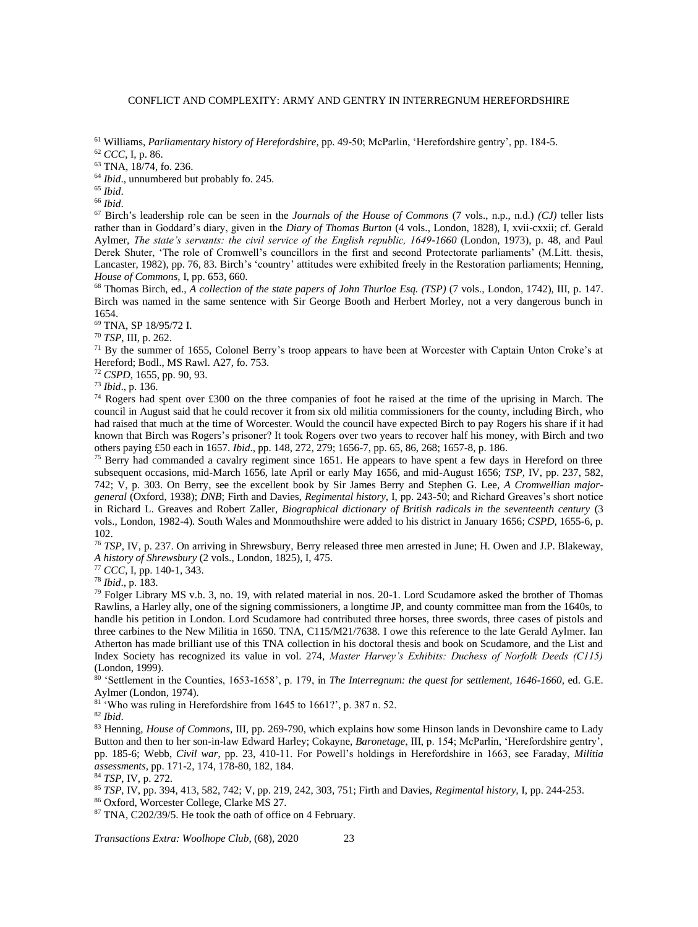<sup>61</sup> Williams, *Parliamentary history of Herefordshire*, pp. 49-50; McParlin, 'Herefordshire gentry', pp. 184-5.

<sup>62</sup> *CCC*, I, p. 86.

<sup>63</sup> TNA, 18/74, fo. 236.

<sup>64</sup> *Ibid.*, unnumbered but probably fo. 245.

<sup>65</sup> *Ibid*.

<sup>66</sup> *Ibid*.

<sup>67</sup> Birch's leadership role can be seen in the *Journals of the House of Commons* (7 vols., n.p., n.d.) *(CJ)* teller lists rather than in Goddard's diary, given in the *Diary of Thomas Burton* (4 vols., London, 1828), I, xvii-cxxii; cf. Gerald Aylmer, *The state's servants: the civil service of the English republic, 1649-1660* (London, 1973), p. 48, and Paul Derek Shuter, 'The role of Cromwell's councillors in the first and second Protectorate parliaments' (M.Litt. thesis, Lancaster, 1982), pp. 76, 83. Birch's 'country' attitudes were exhibited freely in the Restoration parliaments; Henning, *House of Commons,* I, pp. 653, 660.

<sup>68</sup> Thomas Birch, ed., *A collection of the state papers of John Thurloe Esq. (TSP)* (7 vols., London, 1742), III, p. 147. Birch was named in the same sentence with Sir George Booth and Herbert Morley, not a very dangerous bunch in 1654.

<sup>69</sup> TNA, SP 18/95/72 I.

<sup>70</sup> *TSP*, III, p. 262.

<sup>71</sup> By the summer of 1655, Colonel Berry's troop appears to have been at Worcester with Captain Unton Croke's at Hereford; Bodl., MS Rawl. A27, fo. 753.

<sup>72</sup> *CSPD*, 1655, pp. 90, 93.

<sup>73</sup> *Ibid*., p. 136.

 $74$  Rogers had spent over £300 on the three companies of foot he raised at the time of the uprising in March. The council in August said that he could recover it from six old militia commissioners for the county, including Birch, who had raised that much at the time of Worcester. Would the council have expected Birch to pay Rogers his share if it had known that Birch was Rogers's prisoner? It took Rogers over two years to recover half his money, with Birch and two others paying £50 each in 1657. *Ibid*., pp. 148, 272, 279; 1656-7, pp. 65, 86, 268; 1657-8, p. 186.

<sup>75</sup> Berry had commanded a cavalry regiment since 1651. He appears to have spent a few days in Hereford on three subsequent occasions, mid-March 1656, late April or early May 1656, and mid-August 1656; *TSP,* IV, pp. 237, 582, 742; V, p. 303. On Berry, see the excellent book by Sir James Berry and Stephen G. Lee, *A Cromwellian majorgeneral* (Oxford, 1938); *DNB*; Firth and Davies, *Regimental history,* I, pp. 243-50; and Richard Greaves's short notice in Richard L. Greaves and Robert Zaller, *Biographical dictionary of British radicals in the seventeenth century* (3 vols., London, 1982-4)*.* South Wales and Monmouthshire were added to his district in January 1656; *CSPD,* 1655-6, p. 102.

<sup>76</sup> *TSP*, IV, p. 237. On arriving in Shrewsbury, Berry released three men arrested in June; H. Owen and J.P. Blakeway, *A history of Shrewsbury* (2 vols., London, 1825), I, 475.

<sup>77</sup> *CCC*, I, pp. 140-1, 343.

<sup>78</sup> *Ibid*., p. 183.

 $79$  Folger Library MS v.b. 3, no. 19, with related material in nos. 20-1. Lord Scudamore asked the brother of Thomas Rawlins, a Harley ally, one of the signing commissioners, a longtime JP, and county committee man from the 1640s, to handle his petition in London. Lord Scudamore had contributed three horses, three swords, three cases of pistols and three carbines to the New Militia in 1650. TNA, C115/M21/7638. I owe this reference to the late Gerald Aylmer. Ian Atherton has made brilliant use of this TNA collection in his doctoral thesis and book on Scudamore, and the List and Index Society has recognized its value in vol. 274, *Master Harvey's Exhibits: Duchess of Norfolk Deeds (C115)* (London, 1999).

<sup>80</sup> 'Settlement in the Counties, 1653-1658', p. 179, in *The Interregnum: the quest for settlement, 1646-1660,* ed. G.E. Aylmer (London, 1974).

<sup>81</sup> 'Who was ruling in Herefordshire from 1645 to 1661?', p. 387 n. 52.

<sup>82</sup> *Ibid*.

<sup>83</sup> Henning, *House of Commons,* III, pp. 269-790, which explains how some Hinson lands in Devonshire came to Lady Button and then to her son-in-law Edward Harley; Cokayne, *Baronetage*, III, p. 154; McParlin, 'Herefordshire gentry', pp. 185-6; Webb, *Civil war*, pp. 23, 410-11. For Powell's holdings in Herefordshire in 1663, see Faraday, *Militia assessments,* pp. 171-2, 174, 178-80, 182, 184.

<sup>84</sup> *TSP*, IV, p. 272.

<sup>85</sup> *TSP*, IV, pp. 394, 413, 582, 742; V, pp. 219, 242, 303, 751; Firth and Davies, *Regimental history,* I, pp. 244-253.

<sup>86</sup> Oxford, Worcester College, Clarke MS 27.

<sup>87</sup> TNA, C202/39/5. He took the oath of office on 4 February.

*Transactions Extra: Woolhope Club*, (68)*,* 2020 23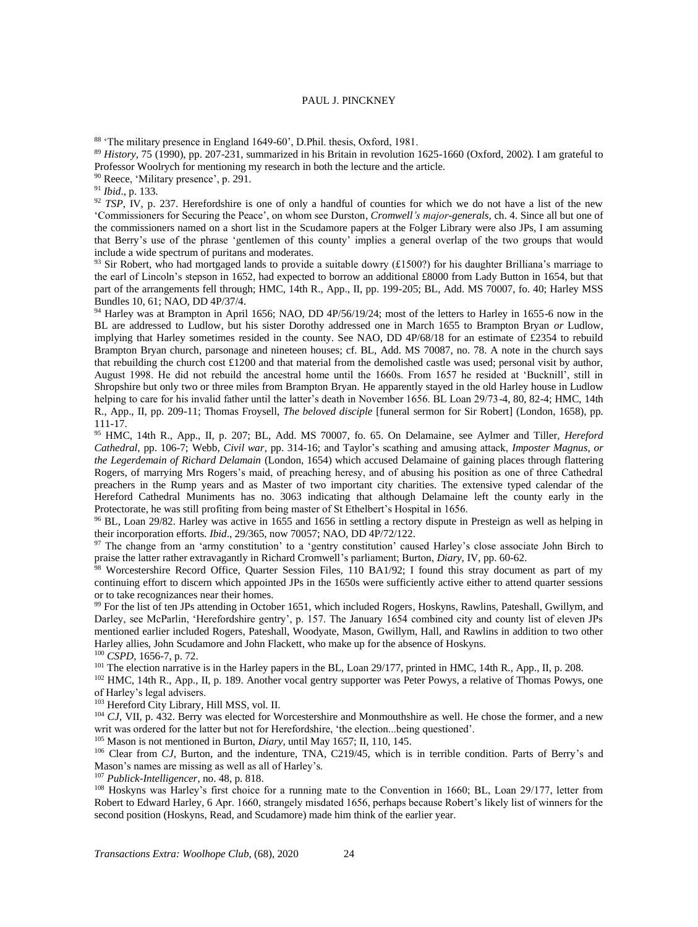<sup>88</sup> 'The military presence in England 1649-60', D.Phil. thesis, Oxford, 1981.

<sup>89</sup> *History,* 75 (1990), pp. 207-231, summarized in his Britain in revolution 1625-1660 (Oxford, 2002). I am grateful to Professor Woolrych for mentioning my research in both the lecture and the article.

<sup>90</sup> Reece, 'Military presence', p. 291.

<sup>91</sup> *Ibid*., p. 133.

<sup>92</sup> *TSP*, IV, p. 237. Herefordshire is one of only a handful of counties for which we do not have a list of the new 'Commissioners for Securing the Peace', on whom see Durston, *Cromwell's major-generals,* ch. 4. Since all but one of the commissioners named on a short list in the Scudamore papers at the Folger Library were also JPs, I am assuming that Berry's use of the phrase 'gentlemen of this county' implies a general overlap of the two groups that would include a wide spectrum of puritans and moderates.

<sup>93</sup> Sir Robert, who had mortgaged lands to provide a suitable dowry (£1500?) for his daughter Brilliana's marriage to the earl of Lincoln's stepson in 1652, had expected to borrow an additional £8000 from Lady Button in 1654, but that part of the arrangements fell through; HMC, 14th R., App., II, pp. 199-205; BL, Add. MS 70007, fo. 40; Harley MSS Bundles 10, 61; NAO, DD 4P/37/4.

94 Harley was at Brampton in April 1656; NAO, DD 4P/56/19/24; most of the letters to Harley in 1655-6 now in the BL are addressed to Ludlow, but his sister Dorothy addressed one in March 1655 to Brampton Bryan *or* Ludlow, implying that Harley sometimes resided in the county. See NAO, DD 4P/68/18 for an estimate of £2354 to rebuild Brampton Bryan church, parsonage and nineteen houses; cf. BL, Add. MS 70087, no. 78. A note in the church says that rebuilding the church cost £1200 and that material from the demolished castle was used; personal visit by author, August 1998. He did not rebuild the ancestral home until the 1660s. From 1657 he resided at 'Bucknill', still in Shropshire but only two or three miles from Brampton Bryan. He apparently stayed in the old Harley house in Ludlow helping to care for his invalid father until the latter's death in November 1656. BL Loan 29/73-4, 80, 82-4; HMC, 14th R., App., II, pp. 209-11; Thomas Froysell, *The beloved disciple* [funeral sermon for Sir Robert] (London, 1658), pp. 111-17.

<sup>95</sup> HMC, 14th R., App., II, p. 207; BL, Add. MS 70007, fo. 65. On Delamaine, see Aylmer and Tiller, *Hereford Cathedral,* pp. 106-7; Webb, *Civil war*, pp. 314-16; and Taylor's scathing and amusing attack, *Imposter Magnus, or the Legerdemain of Richard Delamain* (London, 1654) which accused Delamaine of gaining places through flattering Rogers, of marrying Mrs Rogers's maid, of preaching heresy, and of abusing his position as one of three Cathedral preachers in the Rump years and as Master of two important city charities. The extensive typed calendar of the Hereford Cathedral Muniments has no. 3063 indicating that although Delamaine left the county early in the Protectorate, he was still profiting from being master of St Ethelbert's Hospital in 1656.

<sup>96</sup> BL, Loan 29/82. Harley was active in 1655 and 1656 in settling a rectory dispute in Presteign as well as helping in their incorporation efforts. *Ibid*., 29/365, now 70057; NAO, DD 4P/72/122.

97 The change from an 'army constitution' to a 'gentry constitution' caused Harley's close associate John Birch to praise the latter rather extravagantly in Richard Cromwell's parliament; Burton, *Diary,* IV, pp. 60-62.

Worcestershire Record Office, Quarter Session Files, 110 BA1/92; I found this stray document as part of my continuing effort to discern which appointed JPs in the 1650s were sufficiently active either to attend quarter sessions or to take recognizances near their homes.

<sup>99</sup> For the list of ten JPs attending in October 1651, which included Rogers, Hoskyns, Rawlins, Pateshall, Gwillym, and Darley, see McParlin, 'Herefordshire gentry', p. 157. The January 1654 combined city and county list of eleven JPs mentioned earlier included Rogers, Pateshall, Woodyate, Mason, Gwillym, Hall, and Rawlins in addition to two other Harley allies, John Scudamore and John Flackett, who make up for the absence of Hoskyns.

<sup>100</sup> *CSPD*, 1656-7, p. 72.

 $101$  The election narrative is in the Harley papers in the BL, Loan 29/177, printed in HMC, 14th R., App., II, p. 208.

<sup>102</sup> HMC, 14th R., App., II, p. 189. Another vocal gentry supporter was Peter Powys, a relative of Thomas Powys, one of Harley's legal advisers.

<sup>103</sup> Hereford City Library, Hill MSS, vol. II.

<sup>104</sup> *CJ*, VII, p. 432. Berry was elected for Worcestershire and Monmouthshire as well. He chose the former, and a new writ was ordered for the latter but not for Herefordshire, 'the election...being questioned'.

<sup>105</sup> Mason is not mentioned in Burton, *Diary,* until May 1657; II, 110, 145.

<sup>106</sup> Clear from *CJ*, Burton, and the indenture, TNA, C219/45, which is in terrible condition. Parts of Berry's and Mason's names are missing as well as all of Harley's.

<sup>107</sup> *Publick-Intelligencer*, no. 48, p. 818.

<sup>108</sup> Hoskyns was Harley's first choice for a running mate to the Convention in 1660; BL, Loan 29/177, letter from Robert to Edward Harley, 6 Apr. 1660, strangely misdated 1656, perhaps because Robert's likely list of winners for the second position (Hoskyns, Read, and Scudamore) made him think of the earlier year.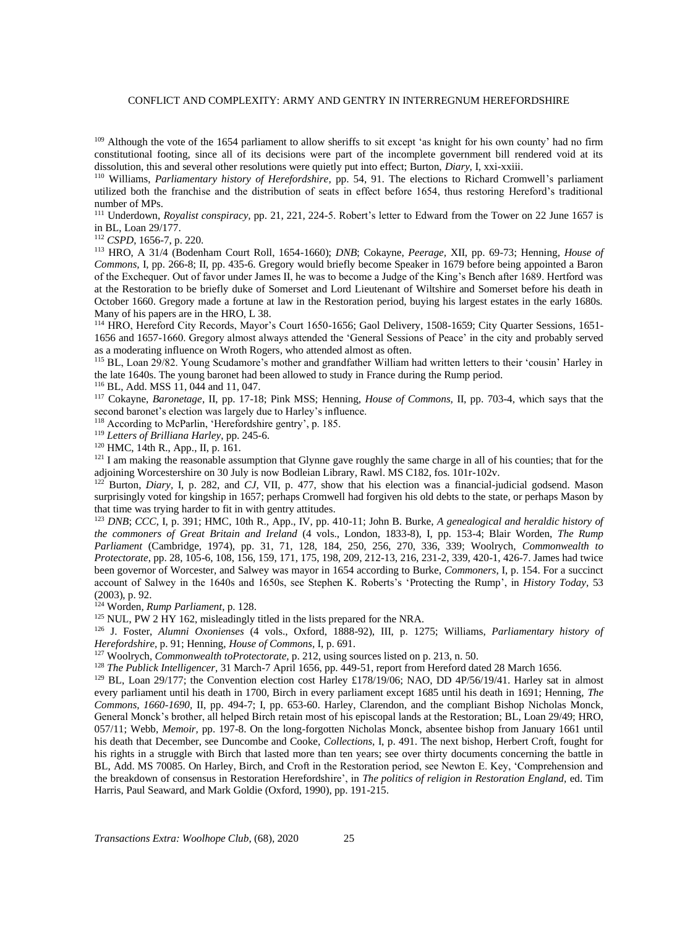<sup>109</sup> Although the vote of the 1654 parliament to allow sheriffs to sit except 'as knight for his own county' had no firm constitutional footing, since all of its decisions were part of the incomplete government bill rendered void at its dissolution, this and several other resolutions were quietly put into effect; Burton, *Diary,* I, xxi-xxiii.

<sup>110</sup> Williams, *Parliamentary history of Herefordshire*, pp. 54, 91. The elections to Richard Cromwell's parliament utilized both the franchise and the distribution of seats in effect before 1654, thus restoring Hereford's traditional number of MPs.

<sup>111</sup> Underdown, *Royalist conspiracy,* pp. 21, 221, 224-5. Robert's letter to Edward from the Tower on 22 June 1657 is in BL, Loan 29/177.

<sup>112</sup> *CSPD*, 1656-7, p. 220.

<sup>113</sup> HRO, A 31/4 (Bodenham Court Roll, 1654-1660); *DNB*; Cokayne, *Peerage,* XII, pp. 69-73; Henning, *House of Commons,* I, pp. 266-8; II, pp. 435-6. Gregory would briefly become Speaker in 1679 before being appointed a Baron of the Exchequer. Out of favor under James II, he was to become a Judge of the King's Bench after 1689. Hertford was at the Restoration to be briefly duke of Somerset and Lord Lieutenant of Wiltshire and Somerset before his death in October 1660. Gregory made a fortune at law in the Restoration period, buying his largest estates in the early 1680s. Many of his papers are in the HRO, L 38.

<sup>114</sup> HRO, Hereford City Records, Mayor's Court 1650-1656; Gaol Delivery, 1508-1659; City Quarter Sessions, 1651- 1656 and 1657-1660. Gregory almost always attended the 'General Sessions of Peace' in the city and probably served as a moderating influence on Wroth Rogers, who attended almost as often.

<sup>115</sup> BL, Loan 29/82. Young Scudamore's mother and grandfather William had written letters to their 'cousin' Harley in the late 1640s. The young baronet had been allowed to study in France during the Rump period.

<sup>116</sup> BL, Add. MSS 11, 044 and 11, 047.

<sup>117</sup> Cokayne, *Baronetage*, II, pp. 17-18; Pink MSS; Henning, *House of Commons,* II, pp. 703-4, which says that the second baronet's election was largely due to Harley's influence.

<sup>118</sup> According to McParlin, 'Herefordshire gentry', p. 185.

<sup>119</sup> *Letters of Brilliana Harley*, pp. 245-6.

<sup>120</sup> HMC, 14th R., App., II, p. 161.

<sup>121</sup> I am making the reasonable assumption that Glynne gave roughly the same charge in all of his counties; that for the adjoining Worcestershire on 30 July is now Bodleian Library, Rawl. MS C182, fos. 101r-102v.

<sup>122</sup> Burton, *Diary,* I, p. 282, and *CJ*, VII, p. 477, show that his election was a financial-judicial godsend. Mason surprisingly voted for kingship in 1657; perhaps Cromwell had forgiven his old debts to the state, or perhaps Mason by that time was trying harder to fit in with gentry attitudes.

<sup>123</sup> *DNB*; *CCC*, I, p. 391; HMC, 10th R., App., IV, pp. 410-11; John B. Burke, *A genealogical and heraldic history of the commoners of Great Britain and Ireland* (4 vols., London, 1833-8), I, pp. 153-4; Blair Worden, *The Rump Parliament* (Cambridge, 1974), pp. 31, 71, 128, 184, 250, 256, 270, 336, 339; Woolrych, *Commonwealth to Protectorate*, pp. 28, 105-6, 108, 156, 159, 171, 175, 198, 209, 212-13, 216, 231-2, 339, 420-1, 426-7. James had twice been governor of Worcester, and Salwey was mayor in 1654 according to Burke, *Commoners*, I, p. 154. For a succinct account of Salwey in the 1640s and 1650s, see Stephen K. Roberts's 'Protecting the Rump', in *History Today,* 53 (2003), p. 92.

<sup>124</sup> Worden*, Rump Parliament*, p. 128.

<sup>125</sup> NUL, PW 2 HY 162, misleadingly titled in the lists prepared for the NRA.

<sup>126</sup> J. Foster, *Alumni Oxonienses* (4 vols., Oxford, 1888-92), III, p. 1275; Williams, *Parliamentary history of Herefordshire,* p. 91; Henning, *House of Commons,* I, p. 691.

<sup>127</sup> Woolrych, *Commonwealth toProtectorate,* p. 212, using sources listed on p. 213, n. 50.

<sup>128</sup> *The Publick Intelligencer,* 31 March-7 April 1656, pp. 449-51, report from Hereford dated 28 March 1656.

<sup>129</sup> BL, Loan 29/177; the Convention election cost Harley £178/19/06; NAO, DD 4P/56/19/41. Harley sat in almost every parliament until his death in 1700, Birch in every parliament except 1685 until his death in 1691; Henning, *The Commons, 1660-1690,* II, pp. 494-7; I, pp. 653-60. Harley, Clarendon, and the compliant Bishop Nicholas Monck, General Monck's brother, all helped Birch retain most of his episcopal lands at the Restoration; BL, Loan 29/49; HRO, 057/11; Webb, *Memoir,* pp. 197-8. On the long-forgotten Nicholas Monck, absentee bishop from January 1661 until his death that December, see Duncombe and Cooke, *Collections,* I, p. 491. The next bishop, Herbert Croft, fought for his rights in a struggle with Birch that lasted more than ten years; see over thirty documents concerning the battle in BL, Add. MS 70085. On Harley, Birch, and Croft in the Restoration period, see Newton E. Key, 'Comprehension and the breakdown of consensus in Restoration Herefordshire', in *The politics of religion in Restoration England,* ed. Tim Harris, Paul Seaward, and Mark Goldie (Oxford, 1990), pp. 191-215.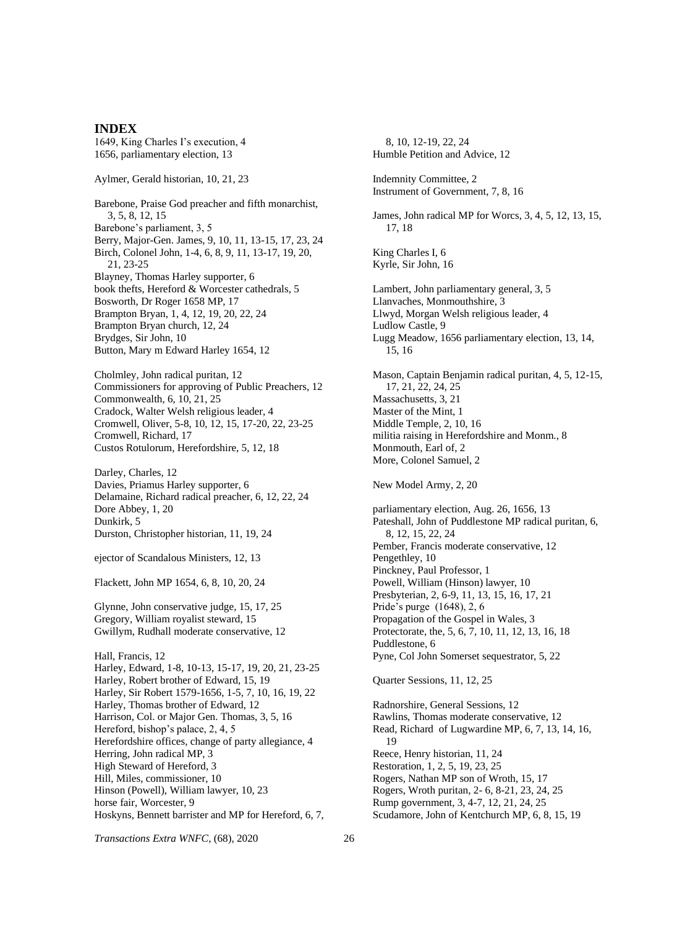#### **INDEX**

1649, King Charles I's execution, 4 1656, parliamentary election, 13

Aylmer, Gerald historian, 10, 21, 23

Barebone, Praise God preacher and fifth monarchist, 3, 5, 8, 12, 15 Barebone's parliament, 3, 5 Berry, Major-Gen. James, 9, 10, 11, 13-15, 17, 23, 24 Birch, Colonel John, 1-4, 6, 8, 9, 11, 13-17, 19, 20, 21, 23-25 Blayney, Thomas Harley supporter, 6 book thefts, Hereford & Worcester cathedrals, 5 Bosworth, Dr Roger 1658 MP, 17 Brampton Bryan, 1, 4, 12, 19, 20, 22, 24 Brampton Bryan church, 12, 24 Brydges, Sir John, 10 Button, Mary m Edward Harley 1654, 12

Cholmley, John radical puritan, 12 Commissioners for approving of Public Preachers, 12 Commonwealth, 6, 10, 21, 25 Cradock, Walter Welsh religious leader, 4 Cromwell, Oliver, 5-8, 10, 12, 15, 17-20, 22, 23-25 Cromwell, Richard, 17 Custos Rotulorum, Herefordshire, 5, 12, 18

Darley, Charles, 12 Davies, Priamus Harley supporter, 6 Delamaine, Richard radical preacher, 6, 12, 22, 24 Dore Abbey, 1, 20 Dunkirk, 5 Durston, Christopher historian, 11, 19, 24

ejector of Scandalous Ministers, 12, 13

Flackett, John MP 1654, 6, 8, 10, 20, 24

Glynne, John conservative judge, 15, 17, 25 Gregory, William royalist steward, 15 Gwillym, Rudhall moderate conservative, 12

Hall, Francis, 12 Harley, Edward, 1-8, 10-13, 15-17, 19, 20, 21, 23-25 Harley, Robert brother of Edward, 15, 19 Harley, Sir Robert 1579-1656, 1-5, 7, 10, 16, 19, 22 Harley, Thomas brother of Edward, 12 Harrison, Col. or Major Gen. Thomas, 3, 5, 16 Hereford, bishop's palace, 2, 4, 5 Herefordshire offices, change of party allegiance, 4 Herring, John radical MP, 3 High Steward of Hereford, 3 Hill, Miles, commissioner, 10 Hinson (Powell), William lawyer, 10, 23 horse fair, Worcester, 9 Hoskyns, Bennett barrister and MP for Hereford, 6, 7,

8, 10, 12-19, 22, 24 Humble Petition and Advice, 12 Indemnity Committee, 2 Instrument of Government, 7, 8, 16 James, John radical MP for Worcs, 3, 4, 5, 12, 13, 15, 17, 18 King Charles I, 6 Kyrle, Sir John, 16 Lambert, John parliamentary general, 3, 5 Llanvaches, Monmouthshire, 3 Llwyd, Morgan Welsh religious leader, 4 Ludlow Castle, 9 Lugg Meadow, 1656 parliamentary election, 13, 14, 15, 16 Mason, Captain Benjamin radical puritan, 4, 5, 12-15, 17, 21, 22, 24, 25 Massachusetts, 3, 21 Master of the Mint, 1 Middle Temple, 2, 10, 16 militia raising in Herefordshire and Monm., 8 Monmouth, Earl of, 2 More, Colonel Samuel, 2 New Model Army, 2, 20 parliamentary election, Aug. 26, 1656, 13 Pateshall, John of Puddlestone MP radical puritan, 6, 8, 12, 15, 22, 24 Pember, Francis moderate conservative, 12 Pengethley, 10 Pinckney, Paul Professor, 1 Powell, William (Hinson) lawyer, 10 Presbyterian, 2, 6-9, 11, 13, 15, 16, 17, 21 Pride's purge (1648), 2, 6 Propagation of the Gospel in Wales, 3 Protectorate, the, 5, 6, 7, 10, 11, 12, 13, 16, 18 Puddlestone, 6 Pyne, Col John Somerset sequestrator, 5, 22 Quarter Sessions, 11, 12, 25 Radnorshire, General Sessions, 12 Rawlins, Thomas moderate conservative, 12 Read, Richard of Lugwardine MP, 6, 7, 13, 14, 16, 19 Reece, Henry historian, 11, 24 Restoration, 1, 2, 5, 19, 23, 25 Rogers, Nathan MP son of Wroth, 15, 17 Rogers, Wroth puritan, 2- 6, 8-21, 23, 24, 25 Rump government, 3, 4-7, 12, 21, 24, 25 Scudamore, John of Kentchurch MP, 6, 8, 15, 19

*Transactions Extra WNFC*, (68)*,* 2020 26